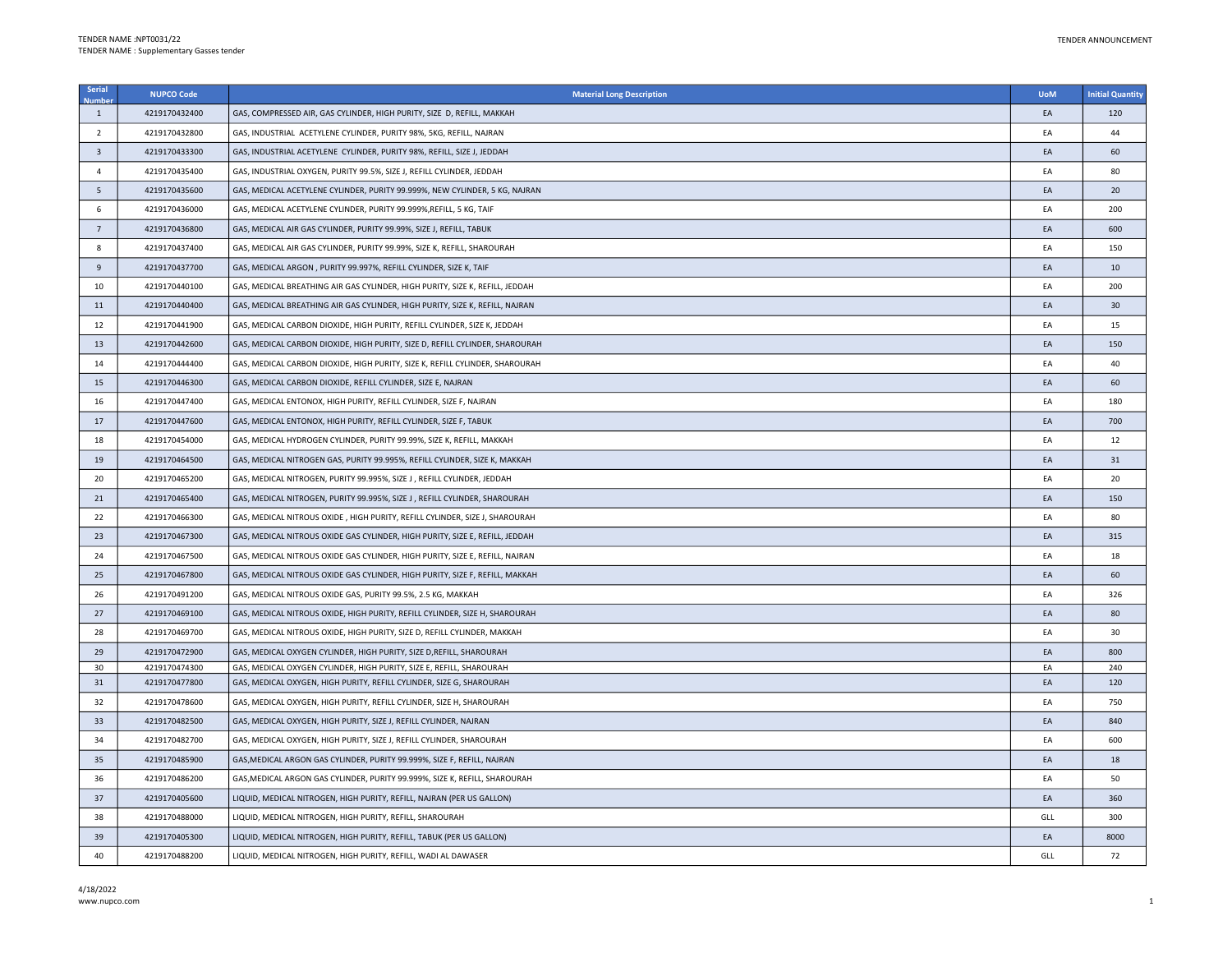| Serial                  | <b>NUPCO Code</b> | <b>Material Long Description</b>                                             | <b>UoM</b> | <b>Initial Quantity</b> |
|-------------------------|-------------------|------------------------------------------------------------------------------|------------|-------------------------|
| $\mathbf{1}$            | 4219170432400     | GAS, COMPRESSED AIR, GAS CYLINDER, HIGH PURITY, SIZE D, REFILL, MAKKAH       | EA         | 120                     |
| $\overline{2}$          | 4219170432800     | GAS, INDUSTRIAL ACETYLENE CYLINDER, PURITY 98%, 5KG, REFILL, NAJRAN          | EA         | 44                      |
| $\overline{\mathbf{3}}$ | 4219170433300     | GAS, INDUSTRIAL ACETYLENE CYLINDER, PURITY 98%, REFILL, SIZE J, JEDDAH       | EA         | 60                      |
| $\overline{4}$          | 4219170435400     | GAS, INDUSTRIAL OXYGEN, PURITY 99.5%, SIZE J, REFILL CYLINDER, JEDDAH        | EA         | 80                      |
| 5                       | 4219170435600     | GAS, MEDICAL ACETYLENE CYLINDER, PURITY 99.999%, NEW CYLINDER, 5 KG, NAJRAN  | EA         | 20                      |
| 6                       | 4219170436000     | GAS, MEDICAL ACETYLENE CYLINDER, PURITY 99.999%, REFILL, 5 KG, TAIF          | EA         | 200                     |
| $7\overline{ }$         | 4219170436800     | GAS, MEDICAL AIR GAS CYLINDER, PURITY 99.99%, SIZE J, REFILL, TABUK          | EA         | 600                     |
| 8                       | 4219170437400     | GAS, MEDICAL AIR GAS CYLINDER, PURITY 99.99%, SIZE K, REFILL, SHAROURAH      | EA         | 150                     |
| 9                       | 4219170437700     | GAS, MEDICAL ARGON, PURITY 99.997%, REFILL CYLINDER, SIZE K, TAIF            | EA         | 10                      |
| 10                      | 4219170440100     | GAS, MEDICAL BREATHING AIR GAS CYLINDER, HIGH PURITY, SIZE K, REFILL, JEDDAH | EA         | 200                     |
| 11                      | 4219170440400     | GAS, MEDICAL BREATHING AIR GAS CYLINDER, HIGH PURITY, SIZE K, REFILL, NAJRAN | EA         | 30                      |
| 12                      | 4219170441900     | GAS, MEDICAL CARBON DIOXIDE, HIGH PURITY, REFILL CYLINDER, SIZE K, JEDDAH    | EA         | 15                      |
| 13                      | 4219170442600     | GAS, MEDICAL CARBON DIOXIDE, HIGH PURITY, SIZE D, REFILL CYLINDER, SHAROURAH | EA         | 150                     |
| 14                      | 4219170444400     | GAS, MEDICAL CARBON DIOXIDE, HIGH PURITY, SIZE K, REFILL CYLINDER, SHAROURAH | EA         | 40                      |
| 15                      | 4219170446300     | GAS, MEDICAL CARBON DIOXIDE, REFILL CYLINDER, SIZE E, NAJRAN                 | EA         | 60                      |
| 16                      | 4219170447400     | GAS, MEDICAL ENTONOX, HIGH PURITY, REFILL CYLINDER, SIZE F, NAJRAN           | EA         | 180                     |
| 17                      | 4219170447600     | GAS, MEDICAL ENTONOX, HIGH PURITY, REFILL CYLINDER, SIZE F, TABUK            | EA         | 700                     |
| 18                      | 4219170454000     | GAS, MEDICAL HYDROGEN CYLINDER, PURITY 99.99%, SIZE K, REFILL, MAKKAH        | EA         | 12                      |
| 19                      | 4219170464500     | GAS, MEDICAL NITROGEN GAS, PURITY 99.995%, REFILL CYLINDER, SIZE K, MAKKAH   | EA         | 31                      |
| 20                      | 4219170465200     | GAS, MEDICAL NITROGEN, PURITY 99.995%, SIZE J , REFILL CYLINDER, JEDDAH      | EA         | 20                      |
| 21                      | 4219170465400     | GAS, MEDICAL NITROGEN, PURITY 99.995%, SIZE J , REFILL CYLINDER, SHAROURAH   | EA         | 150                     |
| 22                      | 4219170466300     | GAS, MEDICAL NITROUS OXIDE, HIGH PURITY, REFILL CYLINDER, SIZE J, SHAROURAH  | EA         | 80                      |
| 23                      | 4219170467300     | GAS, MEDICAL NITROUS OXIDE GAS CYLINDER, HIGH PURITY, SIZE E, REFILL, JEDDAH | EA         | 315                     |
| 24                      | 4219170467500     | GAS, MEDICAL NITROUS OXIDE GAS CYLINDER, HIGH PURITY, SIZE E, REFILL, NAJRAN | EA         | 18                      |
| 25                      | 4219170467800     | GAS, MEDICAL NITROUS OXIDE GAS CYLINDER, HIGH PURITY, SIZE F, REFILL, MAKKAH | EA         | 60                      |
| 26                      | 4219170491200     | GAS, MEDICAL NITROUS OXIDE GAS, PURITY 99.5%, 2.5 KG, MAKKAH                 | EA         | 326                     |
| 27                      | 4219170469100     | GAS, MEDICAL NITROUS OXIDE, HIGH PURITY, REFILL CYLINDER, SIZE H, SHAROURAH  | EA         | 80                      |
| 28                      | 4219170469700     | GAS, MEDICAL NITROUS OXIDE, HIGH PURITY, SIZE D, REFILL CYLINDER, MAKKAH     | EA         | 30                      |
| 29                      | 4219170472900     | GAS, MEDICAL OXYGEN CYLINDER, HIGH PURITY, SIZE D, REFILL, SHAROURAH         | EA         | 800                     |
| 30                      | 4219170474300     | GAS, MEDICAL OXYGEN CYLINDER, HIGH PURITY, SIZE E, REFILL, SHAROURAH         | EA         | 240                     |
| 31                      | 4219170477800     | GAS, MEDICAL OXYGEN, HIGH PURITY, REFILL CYLINDER, SIZE G, SHAROURAH         | EA         | 120                     |
| 32                      | 4219170478600     | GAS, MEDICAL OXYGEN, HIGH PURITY, REFILL CYLINDER, SIZE H, SHAROURAH         | EA         | 750                     |
| 33                      | 4219170482500     | GAS, MEDICAL OXYGEN, HIGH PURITY, SIZE J, REFILL CYLINDER, NAJRAN            | EA         | 840                     |
| 34                      | 4219170482700     | GAS, MEDICAL OXYGEN, HIGH PURITY, SIZE J, REFILL CYLINDER, SHAROURAH         | EA         | 600                     |
| 35                      | 4219170485900     | GAS, MEDICAL ARGON GAS CYLINDER, PURITY 99.999%, SIZE F, REFILL, NAJRAN      | EA         | 18                      |
| 36                      | 4219170486200     | GAS, MEDICAL ARGON GAS CYLINDER, PURITY 99.999%, SIZE K, REFILL, SHAROURAH   | EA         | 50                      |
| 37                      | 4219170405600     | LIQUID, MEDICAL NITROGEN, HIGH PURITY, REFILL, NAJRAN (PER US GALLON)        | EA         | 360                     |
| 38                      | 4219170488000     | LIQUID, MEDICAL NITROGEN, HIGH PURITY, REFILL, SHAROURAH                     | GLL        | 300                     |
| 39                      | 4219170405300     | LIQUID, MEDICAL NITROGEN, HIGH PURITY, REFILL, TABUK (PER US GALLON)         | EA         | 8000                    |
| 40                      | 4219170488200     | LIQUID, MEDICAL NITROGEN, HIGH PURITY, REFILL, WADI AL DAWASER               | GLL        | 72                      |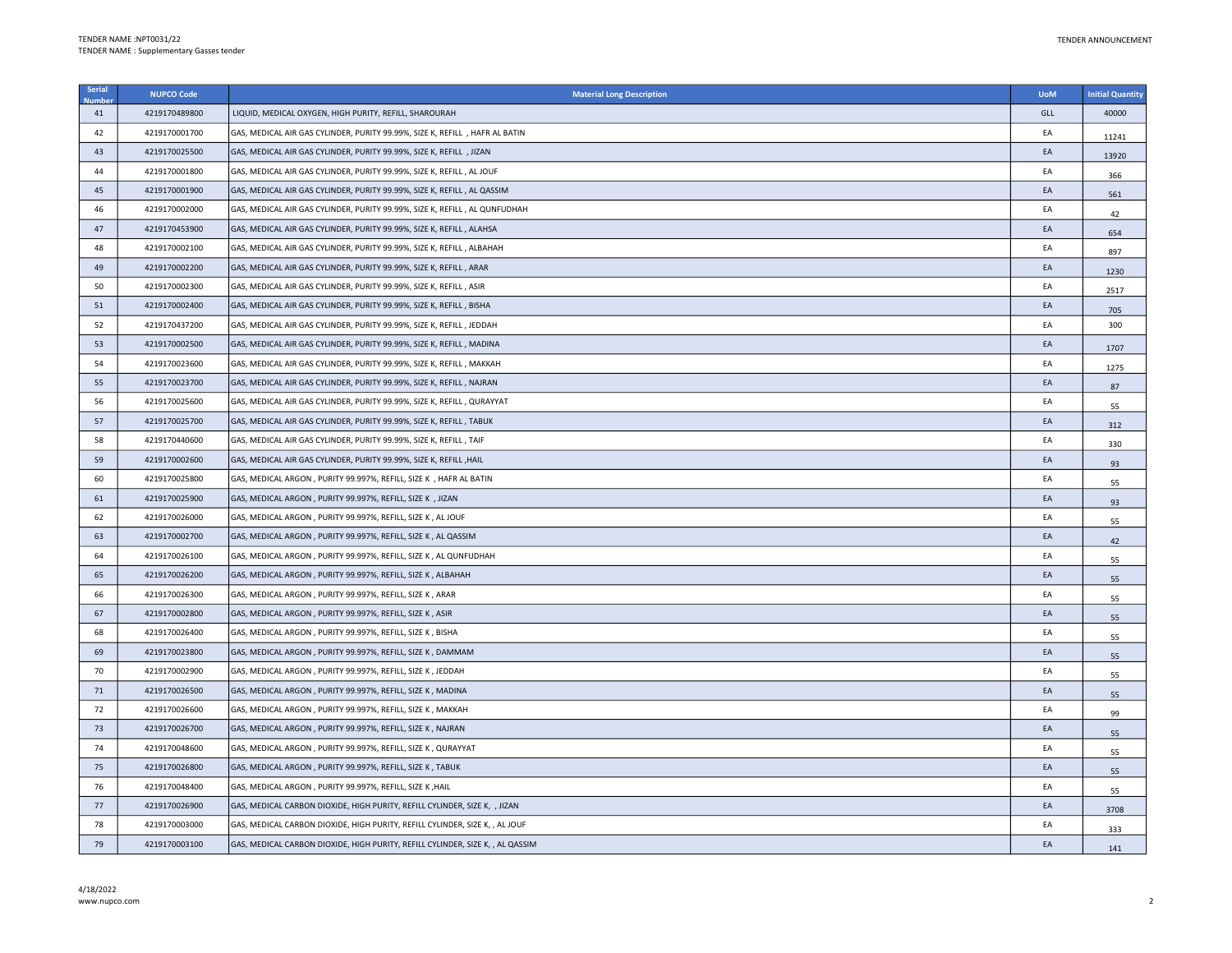| Serial | <b>NUPCO Code</b> | <b>Material Long Description</b>                                               | <b>UoM</b> | <b>Initial Quantity</b> |
|--------|-------------------|--------------------------------------------------------------------------------|------------|-------------------------|
| 41     | 4219170489800     | LIQUID, MEDICAL OXYGEN, HIGH PURITY, REFILL, SHAROURAH                         | GLL        | 40000                   |
| 42     | 4219170001700     | GAS, MEDICAL AIR GAS CYLINDER, PURITY 99.99%, SIZE K, REFILL , HAFR AL BATIN   | EA         | 11241                   |
| 43     | 4219170025500     | GAS, MEDICAL AIR GAS CYLINDER, PURITY 99.99%, SIZE K, REFILL , JIZAN           | EA         | 13920                   |
| 44     | 4219170001800     | GAS, MEDICAL AIR GAS CYLINDER, PURITY 99.99%, SIZE K, REFILL, AL JOUF          | EA         | 366                     |
| 45     | 4219170001900     | GAS, MEDICAL AIR GAS CYLINDER, PURITY 99.99%, SIZE K, REFILL , AL QASSIM       | EA         | 561                     |
| 46     | 4219170002000     | GAS, MEDICAL AIR GAS CYLINDER, PURITY 99.99%, SIZE K, REFILL , AL QUNFUDHAH    | EA         | 42                      |
| 47     | 4219170453900     | GAS, MEDICAL AIR GAS CYLINDER, PURITY 99.99%, SIZE K, REFILL, ALAHSA           | EA         | 654                     |
| 48     | 4219170002100     | GAS, MEDICAL AIR GAS CYLINDER, PURITY 99.99%, SIZE K, REFILL, ALBAHAH          | ΕA         | 897                     |
| 49     | 4219170002200     | GAS, MEDICAL AIR GAS CYLINDER, PURITY 99.99%, SIZE K, REFILL , ARAR            | EA         | 1230                    |
| 50     | 4219170002300     | GAS, MEDICAL AIR GAS CYLINDER, PURITY 99.99%, SIZE K, REFILL, ASIR             | EA         | 2517                    |
| 51     | 4219170002400     | GAS, MEDICAL AIR GAS CYLINDER, PURITY 99.99%, SIZE K, REFILL, BISHA            | EA         | 705                     |
| 52     | 4219170437200     | GAS, MEDICAL AIR GAS CYLINDER, PURITY 99.99%, SIZE K, REFILL, JEDDAH           | EA         | 300                     |
| 53     | 4219170002500     | GAS, MEDICAL AIR GAS CYLINDER, PURITY 99.99%, SIZE K, REFILL , MADINA          | EA         | 1707                    |
| 54     | 4219170023600     | GAS, MEDICAL AIR GAS CYLINDER, PURITY 99.99%, SIZE K, REFILL, MAKKAH           | EA         | 1275                    |
| 55     | 4219170023700     | GAS, MEDICAL AIR GAS CYLINDER, PURITY 99.99%, SIZE K, REFILL, NAJRAN           | EA         | 87                      |
| 56     | 4219170025600     | GAS, MEDICAL AIR GAS CYLINDER, PURITY 99.99%, SIZE K, REFILL, QURAYYAT         | EA         | 55                      |
| 57     | 4219170025700     | GAS, MEDICAL AIR GAS CYLINDER, PURITY 99.99%, SIZE K, REFILL, TABUK            | EA         | 312                     |
| 58     | 4219170440600     | GAS, MEDICAL AIR GAS CYLINDER, PURITY 99.99%, SIZE K, REFILL, TAIF             | EA         | 330                     |
| 59     | 4219170002600     | GAS, MEDICAL AIR GAS CYLINDER, PURITY 99.99%, SIZE K, REFILL , HAIL            | EA         | 93                      |
| 60     | 4219170025800     | GAS, MEDICAL ARGON, PURITY 99.997%, REFILL, SIZE K, HAFR AL BATIN              | EA         | 55                      |
| 61     | 4219170025900     | GAS, MEDICAL ARGON, PURITY 99.997%, REFILL, SIZE K, JIZAN                      | EA         | 93                      |
| 62     | 4219170026000     | GAS, MEDICAL ARGON, PURITY 99.997%, REFILL, SIZE K, AL JOUF                    | EA         | 55                      |
| 63     | 4219170002700     | GAS, MEDICAL ARGON, PURITY 99.997%, REFILL, SIZE K, AL QASSIM                  | EA         | 42                      |
| 64     | 4219170026100     | GAS, MEDICAL ARGON, PURITY 99.997%, REFILL, SIZE K, AL QUNFUDHAH               | EA         | 55                      |
| 65     | 4219170026200     | GAS, MEDICAL ARGON, PURITY 99.997%, REFILL, SIZE K, ALBAHAH                    | EA         | 55                      |
| 66     | 4219170026300     | GAS, MEDICAL ARGON, PURITY 99.997%, REFILL, SIZE K, ARAR                       | EA         | 55                      |
| 67     | 4219170002800     | GAS, MEDICAL ARGON, PURITY 99.997%, REFILL, SIZE K, ASIR                       | EA         | 55                      |
| 68     | 4219170026400     | GAS, MEDICAL ARGON, PURITY 99.997%, REFILL, SIZE K, BISHA                      | EA         | 55                      |
| 69     | 4219170023800     | GAS, MEDICAL ARGON, PURITY 99.997%, REFILL, SIZE K, DAMMAM                     | EA         | 55                      |
| 70     | 4219170002900     | GAS, MEDICAL ARGON, PURITY 99.997%, REFILL, SIZE K, JEDDAH                     | EA         | 55                      |
| 71     | 4219170026500     | GAS, MEDICAL ARGON, PURITY 99.997%, REFILL, SIZE K, MADINA                     | EA         | 55                      |
| 72     | 4219170026600     | GAS, MEDICAL ARGON, PURITY 99.997%, REFILL, SIZE K, MAKKAH                     | EA         | 99                      |
| 73     | 4219170026700     | GAS, MEDICAL ARGON, PURITY 99.997%, REFILL, SIZE K, NAJRAN                     | EA         | 55                      |
| 74     | 4219170048600     | GAS, MEDICAL ARGON, PURITY 99.997%, REFILL, SIZE K, QURAYYAT                   | EA         | 55                      |
| 75     | 4219170026800     | GAS, MEDICAL ARGON, PURITY 99.997%, REFILL, SIZE K, TABUK                      | EA         | 55                      |
| 76     | 4219170048400     | GAS, MEDICAL ARGON, PURITY 99.997%, REFILL, SIZE K, HAIL                       | EA         | 55                      |
| 77     | 4219170026900     | GAS, MEDICAL CARBON DIOXIDE, HIGH PURITY, REFILL CYLINDER, SIZE K, , JIZAN     | EA         | 3708                    |
| 78     | 4219170003000     | GAS, MEDICAL CARBON DIOXIDE, HIGH PURITY, REFILL CYLINDER, SIZE K, , AL JOUF   | ΕA         | 333                     |
| 79     | 4219170003100     | GAS, MEDICAL CARBON DIOXIDE, HIGH PURITY, REFILL CYLINDER, SIZE K, , AL QASSIM | EA         | 141                     |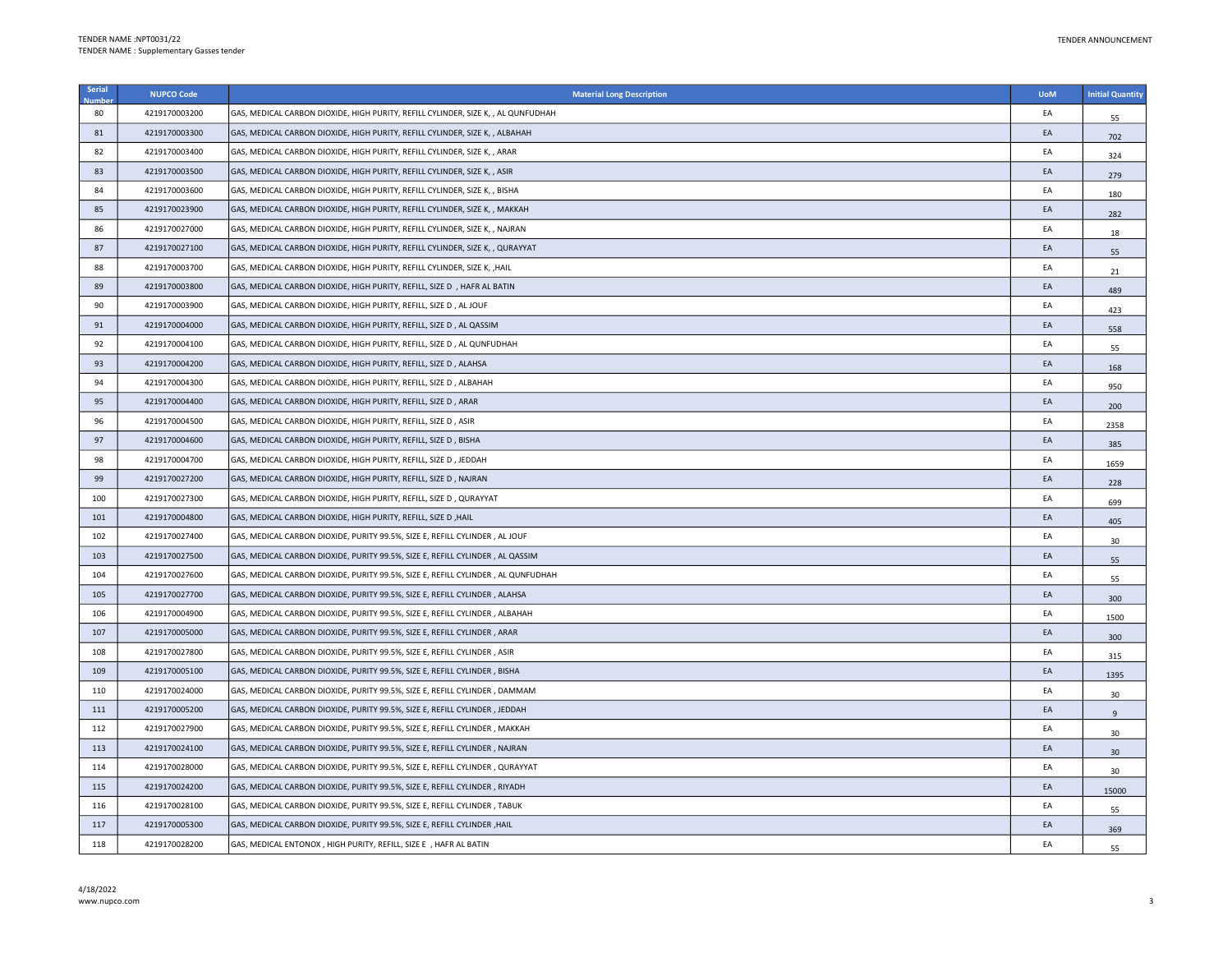| Serial | <b>NUPCO Code</b> | <b>Material Long Description</b>                                                  | <b>UoM</b> | <b>Initial Quantity</b> |
|--------|-------------------|-----------------------------------------------------------------------------------|------------|-------------------------|
| 80     | 4219170003200     | GAS, MEDICAL CARBON DIOXIDE, HIGH PURITY, REFILL CYLINDER, SIZE K, , AL QUNFUDHAH | EA         | 55                      |
| 81     | 4219170003300     | GAS, MEDICAL CARBON DIOXIDE, HIGH PURITY, REFILL CYLINDER, SIZE K, , ALBAHAH      | EA         | 702                     |
| 82     | 4219170003400     | GAS, MEDICAL CARBON DIOXIDE, HIGH PURITY, REFILL CYLINDER, SIZE K, , ARAR         | EA         | 324                     |
| 83     | 4219170003500     | GAS, MEDICAL CARBON DIOXIDE, HIGH PURITY, REFILL CYLINDER, SIZE K, , ASIR         | EA         | 279                     |
| 84     | 4219170003600     | GAS, MEDICAL CARBON DIOXIDE, HIGH PURITY, REFILL CYLINDER, SIZE K, , BISHA        | EA         | 180                     |
| 85     | 4219170023900     | GAS, MEDICAL CARBON DIOXIDE, HIGH PURITY, REFILL CYLINDER, SIZE K, , MAKKAH       | EA         | 282                     |
| 86     | 4219170027000     | GAS, MEDICAL CARBON DIOXIDE, HIGH PURITY, REFILL CYLINDER, SIZE K, , NAJRAN       | EA         | 18                      |
| 87     | 4219170027100     | GAS, MEDICAL CARBON DIOXIDE, HIGH PURITY, REFILL CYLINDER, SIZE K, , QURAYYAT     | EA         | 55                      |
| 88     | 4219170003700     | GAS, MEDICAL CARBON DIOXIDE, HIGH PURITY, REFILL CYLINDER, SIZE K, , HAIL         | EA         | 21                      |
| 89     | 4219170003800     | GAS, MEDICAL CARBON DIOXIDE, HIGH PURITY, REFILL, SIZE D , HAFR AL BATIN          | EA         | 489                     |
| 90     | 4219170003900     | GAS, MEDICAL CARBON DIOXIDE, HIGH PURITY, REFILL, SIZE D, AL JOUF                 | EA         | 423                     |
| 91     | 4219170004000     | GAS, MEDICAL CARBON DIOXIDE, HIGH PURITY, REFILL, SIZE D , AL QASSIM              | EA         | 558                     |
| 92     | 4219170004100     | GAS, MEDICAL CARBON DIOXIDE, HIGH PURITY, REFILL, SIZE D, AL QUNFUDHAH            | EA         | 55                      |
| 93     | 4219170004200     | GAS, MEDICAL CARBON DIOXIDE, HIGH PURITY, REFILL, SIZE D, ALAHSA                  | EA         | 168                     |
| 94     | 4219170004300     | GAS, MEDICAL CARBON DIOXIDE, HIGH PURITY, REFILL, SIZE D, ALBAHAH                 | EA         | 950                     |
| 95     | 4219170004400     | GAS, MEDICAL CARBON DIOXIDE, HIGH PURITY, REFILL, SIZE D, ARAR                    | EA         | 200                     |
| 96     | 4219170004500     | GAS, MEDICAL CARBON DIOXIDE, HIGH PURITY, REFILL, SIZE D , ASIR                   | EA         | 2358                    |
| 97     | 4219170004600     | GAS, MEDICAL CARBON DIOXIDE, HIGH PURITY, REFILL, SIZE D , BISHA                  | EA         | 385                     |
| 98     | 4219170004700     | GAS, MEDICAL CARBON DIOXIDE, HIGH PURITY, REFILL, SIZE D , JEDDAH                 | EA         | 1659                    |
| 99     | 4219170027200     | GAS, MEDICAL CARBON DIOXIDE, HIGH PURITY, REFILL, SIZE D, NAJRAN                  | EA         | 228                     |
| 100    | 4219170027300     | GAS, MEDICAL CARBON DIOXIDE, HIGH PURITY, REFILL, SIZE D , QURAYYAT               | EA         | 699                     |
| 101    | 4219170004800     | GAS, MEDICAL CARBON DIOXIDE, HIGH PURITY, REFILL, SIZE D , HAIL                   | EA         | 405                     |
| 102    | 4219170027400     | GAS, MEDICAL CARBON DIOXIDE, PURITY 99.5%, SIZE E, REFILL CYLINDER, AL JOUF       | EA         | 30                      |
| 103    | 4219170027500     | GAS, MEDICAL CARBON DIOXIDE, PURITY 99.5%, SIZE E, REFILL CYLINDER, AL QASSIM     | EA         | 55                      |
| 104    | 4219170027600     | GAS, MEDICAL CARBON DIOXIDE, PURITY 99.5%, SIZE E, REFILL CYLINDER , AL QUNFUDHAH | EA         | 55                      |
| 105    | 4219170027700     | GAS, MEDICAL CARBON DIOXIDE, PURITY 99.5%, SIZE E, REFILL CYLINDER, ALAHSA        | EA         | 300                     |
| 106    | 4219170004900     | GAS, MEDICAL CARBON DIOXIDE, PURITY 99.5%, SIZE E, REFILL CYLINDER , ALBAHAH      | EA         | 1500                    |
| 107    | 4219170005000     | GAS, MEDICAL CARBON DIOXIDE, PURITY 99.5%, SIZE E, REFILL CYLINDER, ARAR          | EA         | 300                     |
| 108    | 4219170027800     | GAS, MEDICAL CARBON DIOXIDE, PURITY 99.5%, SIZE E, REFILL CYLINDER, ASIR          | EA         | 315                     |
| 109    | 4219170005100     | GAS, MEDICAL CARBON DIOXIDE, PURITY 99.5%, SIZE E, REFILL CYLINDER, BISHA         | EA         | 1395                    |
| 110    | 4219170024000     | GAS, MEDICAL CARBON DIOXIDE, PURITY 99.5%, SIZE E, REFILL CYLINDER , DAMMAM       | EA         | 30                      |
| 111    | 4219170005200     | GAS, MEDICAL CARBON DIOXIDE, PURITY 99.5%, SIZE E, REFILL CYLINDER, JEDDAH        | EA         | 9                       |
| 112    | 4219170027900     | GAS, MEDICAL CARBON DIOXIDE, PURITY 99.5%, SIZE E, REFILL CYLINDER, MAKKAH        | EA         | 30                      |
| 113    | 4219170024100     | GAS, MEDICAL CARBON DIOXIDE, PURITY 99.5%, SIZE E, REFILL CYLINDER, NAJRAN        | EA         | 30                      |
| 114    | 4219170028000     | GAS, MEDICAL CARBON DIOXIDE, PURITY 99.5%, SIZE E, REFILL CYLINDER, QURAYYAT      | EA         | 30                      |
| 115    | 4219170024200     | GAS, MEDICAL CARBON DIOXIDE, PURITY 99.5%, SIZE E, REFILL CYLINDER, RIYADH        | EA         | 15000                   |
| 116    | 4219170028100     | GAS, MEDICAL CARBON DIOXIDE, PURITY 99.5%, SIZE E, REFILL CYLINDER, TABUK         | EA         | 55                      |
| 117    | 4219170005300     | GAS, MEDICAL CARBON DIOXIDE, PURITY 99.5%, SIZE E, REFILL CYLINDER , HAIL         | EA         | 369                     |
| 118    | 4219170028200     | GAS, MEDICAL ENTONOX, HIGH PURITY, REFILL, SIZE E , HAFR AL BATIN                 | EA         | 55                      |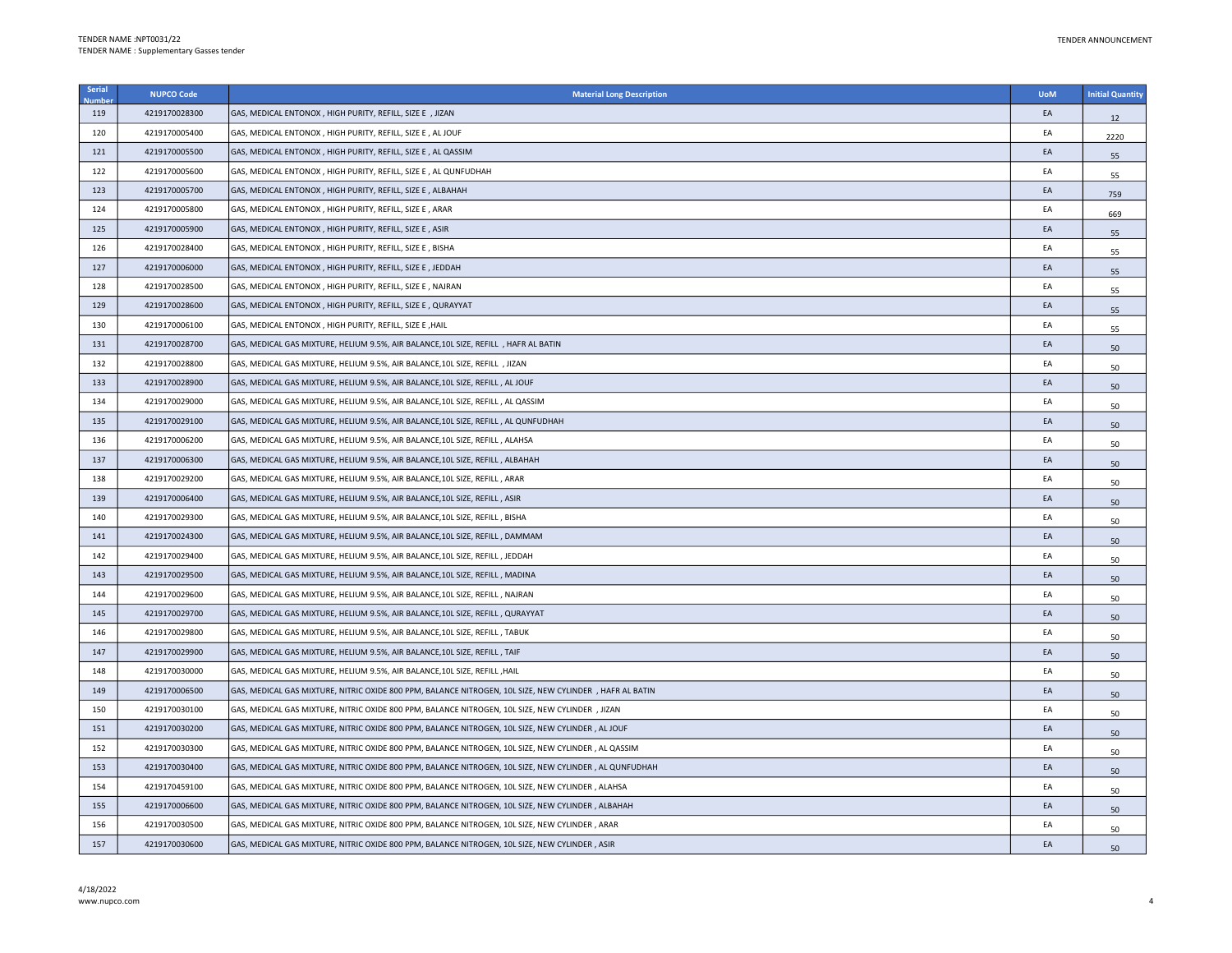| Serial | <b>NUPCO Code</b> | <b>Material Long Description</b>                                                                         | <b>UoM</b> | <b>Initial Quantity</b> |
|--------|-------------------|----------------------------------------------------------------------------------------------------------|------------|-------------------------|
| 119    | 4219170028300     | GAS, MEDICAL ENTONOX, HIGH PURITY, REFILL, SIZE E , JIZAN                                                | EA         | 12                      |
| 120    | 4219170005400     | GAS, MEDICAL ENTONOX, HIGH PURITY, REFILL, SIZE E, AL JOUF                                               | EA         | 2220                    |
| 121    | 4219170005500     | GAS, MEDICAL ENTONOX, HIGH PURITY, REFILL, SIZE E, AL QASSIM                                             | EA         | 55                      |
| 122    | 4219170005600     | GAS, MEDICAL ENTONOX, HIGH PURITY, REFILL, SIZE E, AL QUNFUDHAH                                          | EA         | 55                      |
| 123    | 4219170005700     | GAS, MEDICAL ENTONOX, HIGH PURITY, REFILL, SIZE E, ALBAHAH                                               | EA         | 759                     |
| 124    | 4219170005800     | GAS, MEDICAL ENTONOX, HIGH PURITY, REFILL, SIZE E, ARAR                                                  | EA         | 669                     |
| 125    | 4219170005900     | GAS, MEDICAL ENTONOX, HIGH PURITY, REFILL, SIZE E, ASIR                                                  | EA         | 55                      |
| 126    | 4219170028400     | GAS, MEDICAL ENTONOX, HIGH PURITY, REFILL, SIZE E, BISHA                                                 | EA         | 55                      |
| 127    | 4219170006000     | GAS, MEDICAL ENTONOX, HIGH PURITY, REFILL, SIZE E, JEDDAH                                                | EA         | 55                      |
| 128    | 4219170028500     | GAS, MEDICAL ENTONOX, HIGH PURITY, REFILL, SIZE E, NAJRAN                                                | EA         | 55                      |
| 129    | 4219170028600     | GAS, MEDICAL ENTONOX, HIGH PURITY, REFILL, SIZE E, QURAYYAT                                              | EA         | 55                      |
| 130    | 4219170006100     | GAS, MEDICAL ENTONOX, HIGH PURITY, REFILL, SIZE E, HAIL                                                  | EA         | 55                      |
| 131    | 4219170028700     | GAS, MEDICAL GAS MIXTURE, HELIUM 9.5%, AIR BALANCE, 10L SIZE, REFILL , HAFR AL BATIN                     | EA         | 50                      |
| 132    | 4219170028800     | GAS, MEDICAL GAS MIXTURE, HELIUM 9.5%, AIR BALANCE, 10L SIZE, REFILL , JIZAN                             | EA         | 50                      |
| 133    | 4219170028900     | GAS, MEDICAL GAS MIXTURE, HELIUM 9.5%, AIR BALANCE, 10L SIZE, REFILL , AL JOUF                           | EA         | 50                      |
| 134    | 4219170029000     | GAS, MEDICAL GAS MIXTURE, HELIUM 9.5%, AIR BALANCE, 10L SIZE, REFILL, AL QASSIM                          | EA         | 50                      |
| 135    | 4219170029100     | GAS, MEDICAL GAS MIXTURE, HELIUM 9.5%, AIR BALANCE, 10L SIZE, REFILL, AL QUNFUDHAH                       | EA         | 50                      |
| 136    | 4219170006200     | GAS, MEDICAL GAS MIXTURE, HELIUM 9.5%, AIR BALANCE, 10L SIZE, REFILL, ALAHSA                             | EA         | 50                      |
| 137    | 4219170006300     | GAS, MEDICAL GAS MIXTURE, HELIUM 9.5%, AIR BALANCE, 10L SIZE, REFILL , ALBAHAH                           | EA         | 50                      |
| 138    | 4219170029200     | GAS, MEDICAL GAS MIXTURE, HELIUM 9.5%, AIR BALANCE, 10L SIZE, REFILL, ARAR                               | EA         | 50                      |
| 139    | 4219170006400     | GAS, MEDICAL GAS MIXTURE, HELIUM 9.5%, AIR BALANCE, 10L SIZE, REFILL, ASIR                               | EA         | 50                      |
| 140    | 4219170029300     | GAS, MEDICAL GAS MIXTURE, HELIUM 9.5%, AIR BALANCE, 10L SIZE, REFILL, BISHA                              | EA         | 50                      |
| 141    | 4219170024300     | GAS, MEDICAL GAS MIXTURE, HELIUM 9.5%, AIR BALANCE, 10L SIZE, REFILL, DAMMAM                             | EA         | 50                      |
| 142    | 4219170029400     | GAS, MEDICAL GAS MIXTURE, HELIUM 9.5%, AIR BALANCE, 10L SIZE, REFILL, JEDDAH                             | EA         | 50                      |
| 143    | 4219170029500     | GAS, MEDICAL GAS MIXTURE, HELIUM 9.5%, AIR BALANCE, 10L SIZE, REFILL, MADINA                             | EA         | 50                      |
| 144    | 4219170029600     | GAS, MEDICAL GAS MIXTURE, HELIUM 9.5%, AIR BALANCE, 10L SIZE, REFILL, NAJRAN                             | EA         | 50                      |
| 145    | 4219170029700     | GAS, MEDICAL GAS MIXTURE, HELIUM 9.5%, AIR BALANCE, 10L SIZE, REFILL, QURAYYAT                           | EA         | 50                      |
| 146    | 4219170029800     | GAS, MEDICAL GAS MIXTURE, HELIUM 9.5%, AIR BALANCE, 10L SIZE, REFILL, TABUK                              | EA         | 50                      |
| 147    | 4219170029900     | GAS, MEDICAL GAS MIXTURE, HELIUM 9.5%, AIR BALANCE, 10L SIZE, REFILL, TAIF                               | EA         | 50                      |
| 148    | 4219170030000     | GAS, MEDICAL GAS MIXTURE, HELIUM 9.5%, AIR BALANCE, 10L SIZE, REFILL , HAIL                              | EA         | 50                      |
| 149    | 4219170006500     | GAS, MEDICAL GAS MIXTURE, NITRIC OXIDE 800 PPM, BALANCE NITROGEN, 10L SIZE, NEW CYLINDER , HAFR AL BATIN | EA         | 50                      |
| 150    | 4219170030100     | GAS, MEDICAL GAS MIXTURE, NITRIC OXIDE 800 PPM, BALANCE NITROGEN, 10L SIZE, NEW CYLINDER, JIZAN          | EA         | 50                      |
| 151    | 4219170030200     | GAS, MEDICAL GAS MIXTURE, NITRIC OXIDE 800 PPM, BALANCE NITROGEN, 10L SIZE, NEW CYLINDER, AL JOUF        | EA         | 50                      |
| 152    | 4219170030300     | GAS, MEDICAL GAS MIXTURE, NITRIC OXIDE 800 PPM, BALANCE NITROGEN, 10L SIZE, NEW CYLINDER, AL QASSIM      | EA         | 50                      |
| 153    | 4219170030400     | GAS, MEDICAL GAS MIXTURE, NITRIC OXIDE 800 PPM, BALANCE NITROGEN, 10L SIZE, NEW CYLINDER, AL QUNFUDHAH   | EA         | 50                      |
| 154    | 4219170459100     | GAS, MEDICAL GAS MIXTURE, NITRIC OXIDE 800 PPM, BALANCE NITROGEN, 10L SIZE, NEW CYLINDER, ALAHSA         | EA         | 50                      |
| 155    | 4219170006600     | GAS, MEDICAL GAS MIXTURE, NITRIC OXIDE 800 PPM, BALANCE NITROGEN, 10L SIZE, NEW CYLINDER, ALBAHAH        | EA         | 50                      |
| 156    | 4219170030500     | GAS, MEDICAL GAS MIXTURE, NITRIC OXIDE 800 PPM, BALANCE NITROGEN, 10L SIZE, NEW CYLINDER, ARAR           | EA         | 50                      |
| 157    | 4219170030600     | GAS, MEDICAL GAS MIXTURE, NITRIC OXIDE 800 PPM, BALANCE NITROGEN, 10L SIZE, NEW CYLINDER, ASIR           | EA         | 50                      |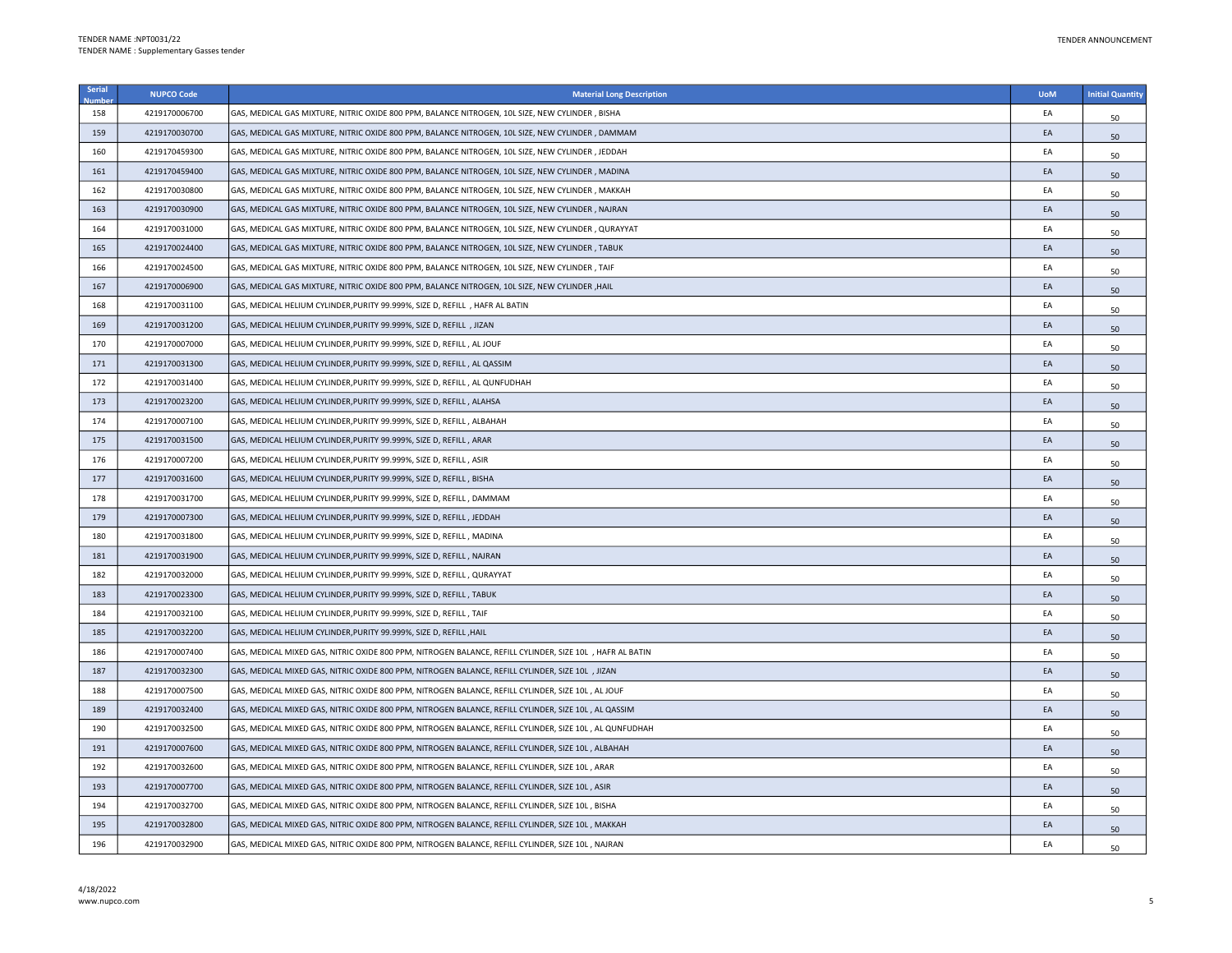| Serial | <b>NUPCO Code</b> | <b>Material Long Description</b>                                                                          | <b>UoM</b> | <b>Initial Quantity</b> |
|--------|-------------------|-----------------------------------------------------------------------------------------------------------|------------|-------------------------|
| 158    | 4219170006700     | GAS, MEDICAL GAS MIXTURE, NITRIC OXIDE 800 PPM, BALANCE NITROGEN, 10L SIZE, NEW CYLINDER, BISHA           | EA         | 50                      |
| 159    | 4219170030700     | GAS, MEDICAL GAS MIXTURE, NITRIC OXIDE 800 PPM, BALANCE NITROGEN, 10L SIZE, NEW CYLINDER , DAMMAM         | EA         | 50                      |
| 160    | 4219170459300     | GAS, MEDICAL GAS MIXTURE, NITRIC OXIDE 800 PPM, BALANCE NITROGEN, 10L SIZE, NEW CYLINDER, JEDDAH          | EA         | 50                      |
| 161    | 4219170459400     | GAS, MEDICAL GAS MIXTURE, NITRIC OXIDE 800 PPM, BALANCE NITROGEN, 10L SIZE, NEW CYLINDER , MADINA         | EA         | 50                      |
| 162    | 4219170030800     | GAS, MEDICAL GAS MIXTURE, NITRIC OXIDE 800 PPM, BALANCE NITROGEN, 10L SIZE, NEW CYLINDER, MAKKAH          | EA         | 50                      |
| 163    | 4219170030900     | GAS, MEDICAL GAS MIXTURE, NITRIC OXIDE 800 PPM, BALANCE NITROGEN, 10L SIZE, NEW CYLINDER , NAJRAN         | EA         | 50                      |
| 164    | 4219170031000     | GAS, MEDICAL GAS MIXTURE, NITRIC OXIDE 800 PPM, BALANCE NITROGEN, 10L SIZE, NEW CYLINDER , QURAYYAT       | EA         | 50                      |
| 165    | 4219170024400     | GAS, MEDICAL GAS MIXTURE, NITRIC OXIDE 800 PPM, BALANCE NITROGEN, 10L SIZE, NEW CYLINDER , TABUK          | EA         | 50                      |
| 166    | 4219170024500     | GAS, MEDICAL GAS MIXTURE, NITRIC OXIDE 800 PPM, BALANCE NITROGEN, 10L SIZE, NEW CYLINDER, TAIF            | EA         | 50                      |
| 167    | 4219170006900     | GAS, MEDICAL GAS MIXTURE, NITRIC OXIDE 800 PPM, BALANCE NITROGEN, 10L SIZE, NEW CYLINDER ,HAIL            | EA         | 50                      |
| 168    | 4219170031100     | GAS, MEDICAL HELIUM CYLINDER,PURITY 99.999%, SIZE D, REFILL , HAFR AL BATIN                               | EA         | 50                      |
| 169    | 4219170031200     | GAS, MEDICAL HELIUM CYLINDER, PURITY 99.999%, SIZE D, REFILL, JIZAN                                       | EA         | 50                      |
| 170    | 4219170007000     | GAS, MEDICAL HELIUM CYLINDER, PURITY 99.999%, SIZE D, REFILL , AL JOUF                                    | EA         | 50                      |
| 171    | 4219170031300     | GAS, MEDICAL HELIUM CYLINDER, PURITY 99.999%, SIZE D, REFILL, AL QASSIM                                   | EA         | 50                      |
| 172    | 4219170031400     | GAS, MEDICAL HELIUM CYLINDER, PURITY 99.999%, SIZE D, REFILL, AL QUNFUDHAH                                | EA         | 50                      |
| 173    | 4219170023200     | GAS, MEDICAL HELIUM CYLINDER, PURITY 99.999%, SIZE D, REFILL, ALAHSA                                      | EA         | 50                      |
| 174    | 4219170007100     | GAS, MEDICAL HELIUM CYLINDER,PURITY 99.999%, SIZE D, REFILL , ALBAHAH                                     | EA         | 50                      |
| 175    | 4219170031500     | GAS, MEDICAL HELIUM CYLINDER,PURITY 99.999%, SIZE D, REFILL , ARAR                                        | EA         | 50                      |
| 176    | 4219170007200     | GAS, MEDICAL HELIUM CYLINDER, PURITY 99.999%, SIZE D, REFILL, ASIR                                        | EA         | 50                      |
| 177    | 4219170031600     | GAS, MEDICAL HELIUM CYLINDER, PURITY 99.999%, SIZE D, REFILL, BISHA                                       | EA         | 50                      |
| 178    | 4219170031700     | GAS, MEDICAL HELIUM CYLINDER, PURITY 99.999%, SIZE D, REFILL, DAMMAM                                      | EA         | 50                      |
| 179    | 4219170007300     | GAS, MEDICAL HELIUM CYLINDER, PURITY 99.999%, SIZE D, REFILL, JEDDAH                                      | EA         | 50                      |
| 180    | 4219170031800     | GAS, MEDICAL HELIUM CYLINDER, PURITY 99.999%, SIZE D, REFILL, MADINA                                      | EA         | 50                      |
| 181    | 4219170031900     | GAS, MEDICAL HELIUM CYLINDER, PURITY 99.999%, SIZE D, REFILL, NAJRAN                                      | EA         | 50                      |
| 182    | 4219170032000     | GAS, MEDICAL HELIUM CYLINDER,PURITY 99.999%, SIZE D, REFILL , QURAYYAT                                    | EA         | 50                      |
| 183    | 4219170023300     | GAS, MEDICAL HELIUM CYLINDER, PURITY 99.999%, SIZE D, REFILL, TABUK                                       | EA         | 50                      |
| 184    | 4219170032100     | GAS, MEDICAL HELIUM CYLINDER, PURITY 99.999%, SIZE D, REFILL, TAIF                                        | EA         | 50                      |
| 185    | 4219170032200     | GAS, MEDICAL HELIUM CYLINDER, PURITY 99.999%, SIZE D, REFILL, HAIL                                        | EA         | 50                      |
| 186    | 4219170007400     | GAS, MEDICAL MIXED GAS, NITRIC OXIDE 800 PPM, NITROGEN BALANCE, REFILL CYLINDER, SIZE 10L , HAFR AL BATIN | EA         | 50                      |
| 187    | 4219170032300     | GAS, MEDICAL MIXED GAS, NITRIC OXIDE 800 PPM, NITROGEN BALANCE, REFILL CYLINDER, SIZE 10L , JIZAN         | EA         | 50                      |
| 188    | 4219170007500     | GAS, MEDICAL MIXED GAS, NITRIC OXIDE 800 PPM, NITROGEN BALANCE, REFILL CYLINDER, SIZE 10L, AL JOUF        | EA         | 50                      |
| 189    | 4219170032400     | GAS, MEDICAL MIXED GAS, NITRIC OXIDE 800 PPM, NITROGEN BALANCE, REFILL CYLINDER, SIZE 10L , AL QASSIM     | EA         | 50                      |
| 190    | 4219170032500     | GAS, MEDICAL MIXED GAS, NITRIC OXIDE 800 PPM, NITROGEN BALANCE, REFILL CYLINDER, SIZE 10L , AL QUNFUDHAH  | EA         | 50                      |
| 191    | 4219170007600     | GAS, MEDICAL MIXED GAS, NITRIC OXIDE 800 PPM, NITROGEN BALANCE, REFILL CYLINDER, SIZE 10L , ALBAHAH       | EA         | 50                      |
| 192    | 4219170032600     | GAS, MEDICAL MIXED GAS, NITRIC OXIDE 800 PPM, NITROGEN BALANCE, REFILL CYLINDER, SIZE 10L , ARAR          | EA         | 50                      |
| 193    | 4219170007700     | GAS, MEDICAL MIXED GAS, NITRIC OXIDE 800 PPM, NITROGEN BALANCE, REFILL CYLINDER, SIZE 10L, ASIR           | EA         | 50                      |
| 194    | 4219170032700     | GAS, MEDICAL MIXED GAS, NITRIC OXIDE 800 PPM, NITROGEN BALANCE, REFILL CYLINDER, SIZE 10L , BISHA         | EA         | 50                      |
| 195    | 4219170032800     | GAS, MEDICAL MIXED GAS, NITRIC OXIDE 800 PPM, NITROGEN BALANCE, REFILL CYLINDER, SIZE 10L , MAKKAH        | EA         | 50                      |
| 196    | 4219170032900     | GAS, MEDICAL MIXED GAS, NITRIC OXIDE 800 PPM, NITROGEN BALANCE, REFILL CYLINDER, SIZE 10L, NAJRAN         | EA         | 50                      |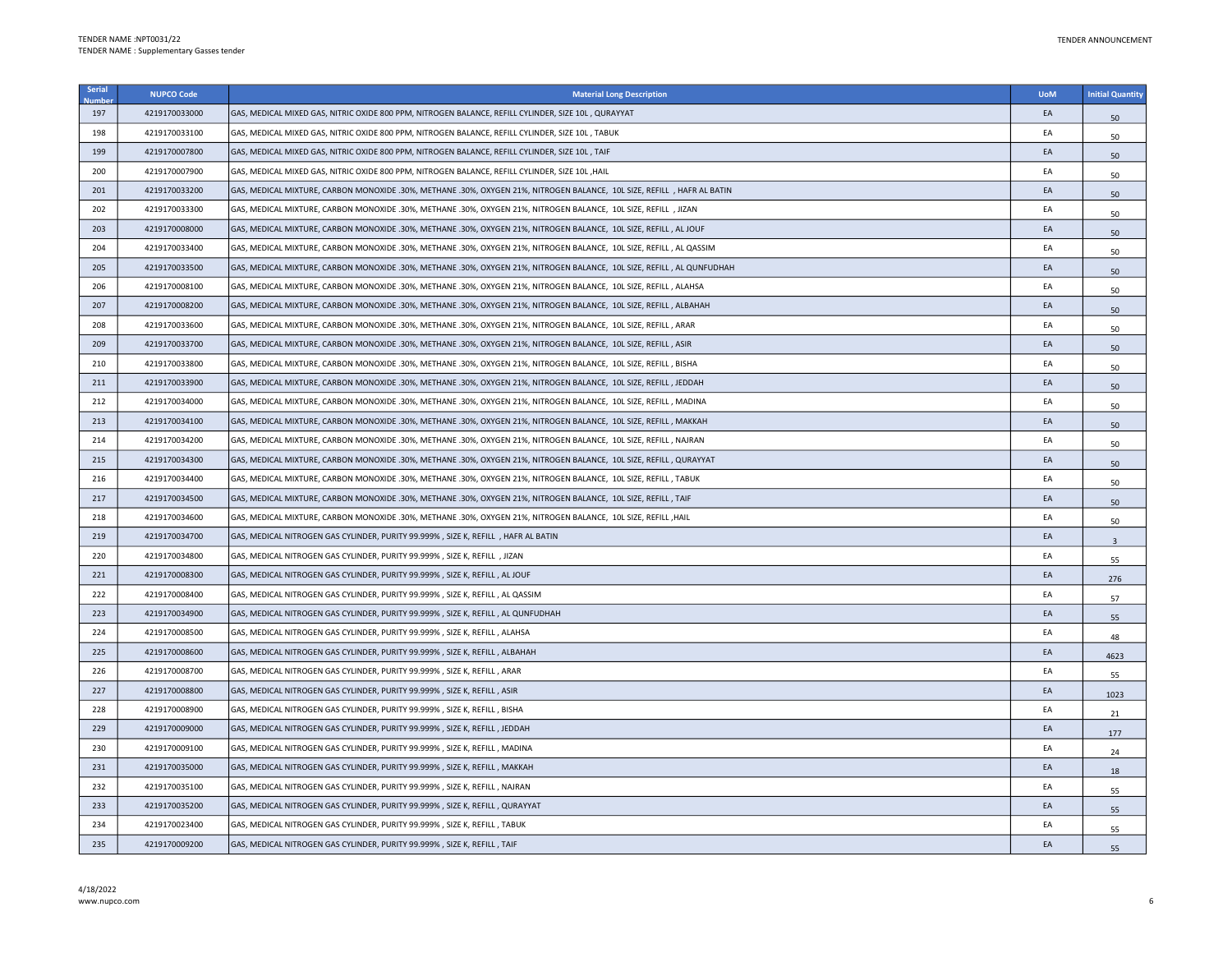| <b>Serial</b> | <b>NUPCO Code</b> | <b>Material Long Description</b>                                                                                        | <b>UoM</b> | <b>Initial Quantity</b> |
|---------------|-------------------|-------------------------------------------------------------------------------------------------------------------------|------------|-------------------------|
| 197           | 4219170033000     | GAS, MEDICAL MIXED GAS, NITRIC OXIDE 800 PPM, NITROGEN BALANCE, REFILL CYLINDER, SIZE 10L , QURAYYAT                    | EA         | 50                      |
| 198           | 4219170033100     | GAS, MEDICAL MIXED GAS, NITRIC OXIDE 800 PPM, NITROGEN BALANCE, REFILL CYLINDER, SIZE 10L, TABUK                        | EA         | 50                      |
| 199           | 4219170007800     | GAS, MEDICAL MIXED GAS, NITRIC OXIDE 800 PPM, NITROGEN BALANCE, REFILL CYLINDER, SIZE 10L, TAIF                         | EA         | 50                      |
| 200           | 4219170007900     | GAS, MEDICAL MIXED GAS, NITRIC OXIDE 800 PPM, NITROGEN BALANCE, REFILL CYLINDER, SIZE 10L , HAIL                        | EA         | 50                      |
| 201           | 4219170033200     | GAS, MEDICAL MIXTURE, CARBON MONOXIDE .30%, METHANE .30%, OXYGEN 21%, NITROGEN BALANCE, 10L SIZE, REFILL, HAFR AL BATIN | EA         | 50                      |
| 202           | 4219170033300     | GAS, MEDICAL MIXTURE, CARBON MONOXIDE .30%, METHANE .30%, OXYGEN 21%, NITROGEN BALANCE, 10L SIZE, REFILL , JIZAN        | EA         | 50                      |
| 203           | 4219170008000     | GAS, MEDICAL MIXTURE, CARBON MONOXIDE .30%, METHANE .30%, OXYGEN 21%, NITROGEN BALANCE, 10L SIZE, REFILL, AL JOUF       | EA         | 50                      |
| 204           | 4219170033400     | GAS, MEDICAL MIXTURE, CARBON MONOXIDE .30%, METHANE .30%, OXYGEN 21%, NITROGEN BALANCE, 10L SIZE, REFILL , AL QASSIM    | EA         | 50                      |
| 205           | 4219170033500     | GAS, MEDICAL MIXTURE, CARBON MONOXIDE .30%, METHANE .30%, OXYGEN 21%, NITROGEN BALANCE, 10L SIZE, REFILL, AL QUNFUDHAH  | EA         | 50                      |
| 206           | 4219170008100     | GAS, MEDICAL MIXTURE, CARBON MONOXIDE .30%, METHANE .30%, OXYGEN 21%, NITROGEN BALANCE, 10L SIZE, REFILL, ALAHSA        | EA         | 50                      |
| 207           | 4219170008200     | GAS, MEDICAL MIXTURE, CARBON MONOXIDE .30%, METHANE .30%, OXYGEN 21%, NITROGEN BALANCE, 10L SIZE, REFILL, ALBAHAH       | EA         | 50                      |
| 208           | 4219170033600     | GAS, MEDICAL MIXTURE, CARBON MONOXIDE .30%, METHANE .30%, OXYGEN 21%, NITROGEN BALANCE, 10L SIZE, REFILL, ARAR          | EA         | 50                      |
| 209           | 4219170033700     | GAS, MEDICAL MIXTURE, CARBON MONOXIDE .30%, METHANE .30%, OXYGEN 21%, NITROGEN BALANCE, 10L SIZE, REFILL, ASIR          | EA         | 50                      |
| 210           | 4219170033800     | GAS, MEDICAL MIXTURE, CARBON MONOXIDE .30%, METHANE .30%, OXYGEN 21%, NITROGEN BALANCE, 10L SIZE, REFILL , BISHA        | EA         | 50                      |
| 211           | 4219170033900     | GAS, MEDICAL MIXTURE, CARBON MONOXIDE .30%, METHANE .30%, OXYGEN 21%, NITROGEN BALANCE, 10L SIZE, REFILL, JEDDAH        | EA         | 50                      |
| 212           | 4219170034000     | GAS, MEDICAL MIXTURE, CARBON MONOXIDE .30%, METHANE .30%, OXYGEN 21%, NITROGEN BALANCE, 10L SIZE, REFILL, MADINA        | EA         | 50                      |
| 213           | 4219170034100     | GAS, MEDICAL MIXTURE, CARBON MONOXIDE .30%, METHANE .30%, OXYGEN 21%, NITROGEN BALANCE, 10L SIZE, REFILL, MAKKAH        | EA         | 50                      |
| 214           | 4219170034200     | GAS, MEDICAL MIXTURE, CARBON MONOXIDE .30%, METHANE .30%, OXYGEN 21%, NITROGEN BALANCE, 10L SIZE, REFILL, NAJRAN        | EA         | 50                      |
| 215           | 4219170034300     | GAS, MEDICAL MIXTURE, CARBON MONOXIDE .30%, METHANE .30%, OXYGEN 21%, NITROGEN BALANCE, 10L SIZE, REFILL, QURAYYAT      | EA         | 50                      |
| 216           | 4219170034400     | GAS, MEDICAL MIXTURE, CARBON MONOXIDE .30%, METHANE .30%, OXYGEN 21%, NITROGEN BALANCE, 10L SIZE, REFILL , TABUK        | EA         | 50                      |
| 217           | 4219170034500     | GAS, MEDICAL MIXTURE, CARBON MONOXIDE .30%, METHANE .30%, OXYGEN 21%, NITROGEN BALANCE, 10L SIZE, REFILL, TAIF          | EA         | 50                      |
| 218           | 4219170034600     | GAS, MEDICAL MIXTURE, CARBON MONOXIDE .30%, METHANE .30%, OXYGEN 21%, NITROGEN BALANCE, 10L SIZE, REFILL ,HAIL          | EA         | 50                      |
| 219           | 4219170034700     | GAS, MEDICAL NITROGEN GAS CYLINDER, PURITY 99.999% , SIZE K, REFILL , HAFR AL BATIN                                     | EA         | $\overline{3}$          |
| 220           | 4219170034800     | GAS, MEDICAL NITROGEN GAS CYLINDER, PURITY 99.999%, SIZE K, REFILL, JIZAN                                               | EA         | 55                      |
| 221           | 4219170008300     | GAS, MEDICAL NITROGEN GAS CYLINDER, PURITY 99.999%, SIZE K, REFILL, AL JOUF                                             | EA         | 276                     |
| 222           | 4219170008400     | GAS, MEDICAL NITROGEN GAS CYLINDER, PURITY 99.999%, SIZE K, REFILL, AL QASSIM                                           | EA         | 57                      |
| 223           | 4219170034900     | GAS, MEDICAL NITROGEN GAS CYLINDER, PURITY 99.999%, SIZE K, REFILL, AL QUNFUDHAH                                        | EA         | 55                      |
| 224           | 4219170008500     | GAS, MEDICAL NITROGEN GAS CYLINDER, PURITY 99.999%, SIZE K, REFILL, ALAHSA                                              | EA         | 48                      |
| 225           | 4219170008600     | GAS, MEDICAL NITROGEN GAS CYLINDER, PURITY 99.999%, SIZE K, REFILL, ALBAHAH                                             | EA         | 4623                    |
| 226           | 4219170008700     | GAS, MEDICAL NITROGEN GAS CYLINDER, PURITY 99.999%, SIZE K, REFILL, ARAR                                                | EA         | 55                      |
| 227           | 4219170008800     | GAS, MEDICAL NITROGEN GAS CYLINDER, PURITY 99.999%, SIZE K, REFILL, ASIR                                                | EA         | 1023                    |
| 228           | 4219170008900     | GAS, MEDICAL NITROGEN GAS CYLINDER, PURITY 99.999%, SIZE K, REFILL, BISHA                                               | EA         | 21                      |
| 229           | 4219170009000     | GAS, MEDICAL NITROGEN GAS CYLINDER, PURITY 99.999%, SIZE K, REFILL, JEDDAH                                              | EA         | 177                     |
| 230           | 4219170009100     | GAS, MEDICAL NITROGEN GAS CYLINDER, PURITY 99.999%, SIZE K, REFILL, MADINA                                              | EA         | 24                      |
| 231           | 4219170035000     | GAS, MEDICAL NITROGEN GAS CYLINDER, PURITY 99.999%, SIZE K, REFILL, MAKKAH                                              | EA         | 18                      |
| 232           | 4219170035100     | GAS, MEDICAL NITROGEN GAS CYLINDER, PURITY 99.999% , SIZE K, REFILL , NAJRAN                                            | EA         | 55                      |
| 233           | 4219170035200     | GAS, MEDICAL NITROGEN GAS CYLINDER, PURITY 99.999%, SIZE K, REFILL, QURAYYAT                                            | EA         | 55                      |
| 234           | 4219170023400     | GAS, MEDICAL NITROGEN GAS CYLINDER, PURITY 99.999%, SIZE K, REFILL, TABUK                                               | EA         | 55                      |
| 235           | 4219170009200     | GAS, MEDICAL NITROGEN GAS CYLINDER, PURITY 99.999%, SIZE K, REFILL, TAIF                                                | EA         | 55                      |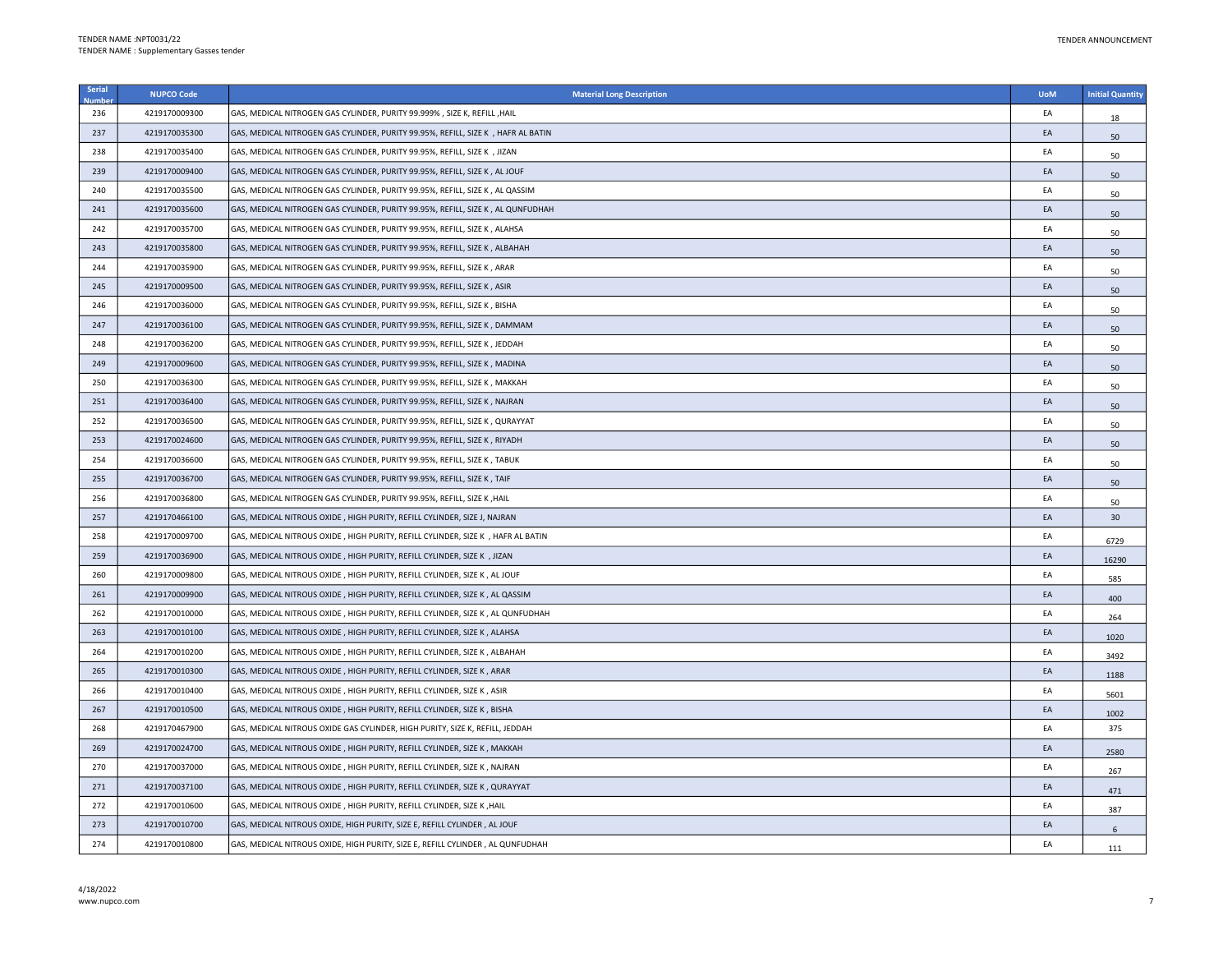| Serial | <b>NUPCO Code</b> | <b>Material Long Description</b>                                                  | <b>UoM</b> | <b>Initial Quantity</b> |
|--------|-------------------|-----------------------------------------------------------------------------------|------------|-------------------------|
| 236    | 4219170009300     | GAS, MEDICAL NITROGEN GAS CYLINDER, PURITY 99.999% , SIZE K, REFILL , HAIL        | EA         | 18                      |
| 237    | 4219170035300     | GAS, MEDICAL NITROGEN GAS CYLINDER, PURITY 99.95%, REFILL, SIZE K , HAFR AL BATIN | EA         | 50                      |
| 238    | 4219170035400     | GAS, MEDICAL NITROGEN GAS CYLINDER, PURITY 99.95%, REFILL, SIZE K, JIZAN          | EA         | 50                      |
| 239    | 4219170009400     | GAS, MEDICAL NITROGEN GAS CYLINDER, PURITY 99.95%, REFILL, SIZE K , AL JOUF       | EA         | 50                      |
| 240    | 4219170035500     | GAS, MEDICAL NITROGEN GAS CYLINDER, PURITY 99.95%, REFILL, SIZE K , AL QASSIM     | EA         | 50                      |
| 241    | 4219170035600     | GAS, MEDICAL NITROGEN GAS CYLINDER, PURITY 99.95%, REFILL, SIZE K, AL QUNFUDHAH   | EA         | 50                      |
| 242    | 4219170035700     | GAS, MEDICAL NITROGEN GAS CYLINDER, PURITY 99.95%, REFILL, SIZE K , ALAHSA        | EA         | 50                      |
| 243    | 4219170035800     | GAS, MEDICAL NITROGEN GAS CYLINDER, PURITY 99.95%, REFILL, SIZE K, ALBAHAH        | EA         | 50                      |
| 244    | 4219170035900     | GAS, MEDICAL NITROGEN GAS CYLINDER, PURITY 99.95%, REFILL, SIZE K , ARAR          | EA         | 50                      |
| 245    | 4219170009500     | GAS, MEDICAL NITROGEN GAS CYLINDER, PURITY 99.95%, REFILL, SIZE K , ASIR          | EA         | 50                      |
| 246    | 4219170036000     | GAS, MEDICAL NITROGEN GAS CYLINDER, PURITY 99.95%, REFILL, SIZE K , BISHA         | EA         | 50                      |
| 247    | 4219170036100     | GAS, MEDICAL NITROGEN GAS CYLINDER, PURITY 99.95%, REFILL, SIZE K, DAMMAM         | EA         | 50                      |
| 248    | 4219170036200     | GAS, MEDICAL NITROGEN GAS CYLINDER, PURITY 99.95%, REFILL, SIZE K , JEDDAH        | EA         | 50                      |
| 249    | 4219170009600     | GAS, MEDICAL NITROGEN GAS CYLINDER, PURITY 99.95%, REFILL, SIZE K, MADINA         | EA         | 50                      |
| 250    | 4219170036300     | GAS, MEDICAL NITROGEN GAS CYLINDER, PURITY 99.95%, REFILL, SIZE K , MAKKAH        | EA         | 50                      |
| 251    | 4219170036400     | GAS, MEDICAL NITROGEN GAS CYLINDER, PURITY 99.95%, REFILL, SIZE K, NAJRAN         | EA         | 50                      |
| 252    | 4219170036500     | GAS, MEDICAL NITROGEN GAS CYLINDER, PURITY 99.95%, REFILL, SIZE K, QURAYYAT       | EA         | 50                      |
| 253    | 4219170024600     | GAS, MEDICAL NITROGEN GAS CYLINDER, PURITY 99.95%, REFILL, SIZE K , RIYADH        | EA         | 50                      |
| 254    | 4219170036600     | GAS, MEDICAL NITROGEN GAS CYLINDER, PURITY 99.95%, REFILL, SIZE K, TABUK          | EA         | 50                      |
| 255    | 4219170036700     | GAS, MEDICAL NITROGEN GAS CYLINDER, PURITY 99.95%, REFILL, SIZE K, TAIF           | EA         | 50                      |
| 256    | 4219170036800     | GAS, MEDICAL NITROGEN GAS CYLINDER, PURITY 99.95%, REFILL, SIZE K, HAIL           | EA         | 50                      |
| 257    | 4219170466100     | GAS, MEDICAL NITROUS OXIDE, HIGH PURITY, REFILL CYLINDER, SIZE J, NAJRAN          | EA         | 30                      |
| 258    | 4219170009700     | GAS, MEDICAL NITROUS OXIDE , HIGH PURITY, REFILL CYLINDER, SIZE K , HAFR AL BATIN | EA         | 6729                    |
| 259    | 4219170036900     | GAS, MEDICAL NITROUS OXIDE, HIGH PURITY, REFILL CYLINDER, SIZE K , JIZAN          | EA         | 16290                   |
| 260    | 4219170009800     | GAS, MEDICAL NITROUS OXIDE , HIGH PURITY, REFILL CYLINDER, SIZE K , AL JOUF       | EA         | 585                     |
| 261    | 4219170009900     | GAS, MEDICAL NITROUS OXIDE , HIGH PURITY, REFILL CYLINDER, SIZE K , AL QASSIM     | EA         | 400                     |
| 262    | 4219170010000     | GAS, MEDICAL NITROUS OXIDE, HIGH PURITY, REFILL CYLINDER, SIZE K, AL QUNFUDHAH    | EA         | 264                     |
| 263    | 4219170010100     | GAS, MEDICAL NITROUS OXIDE, HIGH PURITY, REFILL CYLINDER, SIZE K, ALAHSA          | EA         | 1020                    |
| 264    | 4219170010200     | GAS, MEDICAL NITROUS OXIDE , HIGH PURITY, REFILL CYLINDER, SIZE K , ALBAHAH       | EA         | 3492                    |
| 265    | 4219170010300     | GAS, MEDICAL NITROUS OXIDE, HIGH PURITY, REFILL CYLINDER, SIZE K, ARAR            | EA         | 1188                    |
| 266    | 4219170010400     | GAS, MEDICAL NITROUS OXIDE , HIGH PURITY, REFILL CYLINDER, SIZE K , ASIR          | EA         | 5601                    |
| 267    | 4219170010500     | GAS, MEDICAL NITROUS OXIDE, HIGH PURITY, REFILL CYLINDER, SIZE K, BISHA           | EA         | 1002                    |
| 268    | 4219170467900     | GAS, MEDICAL NITROUS OXIDE GAS CYLINDER, HIGH PURITY, SIZE K, REFILL, JEDDAH      | EA         | 375                     |
| 269    | 4219170024700     | GAS, MEDICAL NITROUS OXIDE, HIGH PURITY, REFILL CYLINDER, SIZE K, MAKKAH          | EA         | 2580                    |
| 270    | 4219170037000     | GAS, MEDICAL NITROUS OXIDE, HIGH PURITY, REFILL CYLINDER, SIZE K, NAJRAN          | EA         | 267                     |
| 271    | 4219170037100     | GAS, MEDICAL NITROUS OXIDE, HIGH PURITY, REFILL CYLINDER, SIZE K, QURAYYAT        | EA         | 471                     |
| 272    | 4219170010600     | GAS, MEDICAL NITROUS OXIDE, HIGH PURITY, REFILL CYLINDER, SIZE K, HAIL            | EA         | 387                     |
| 273    | 4219170010700     | GAS, MEDICAL NITROUS OXIDE, HIGH PURITY, SIZE E, REFILL CYLINDER, AL JOUF         | EA         | 6                       |
| 274    | 4219170010800     | GAS, MEDICAL NITROUS OXIDE, HIGH PURITY, SIZE E, REFILL CYLINDER, AL QUNFUDHAH    | EA         | 111                     |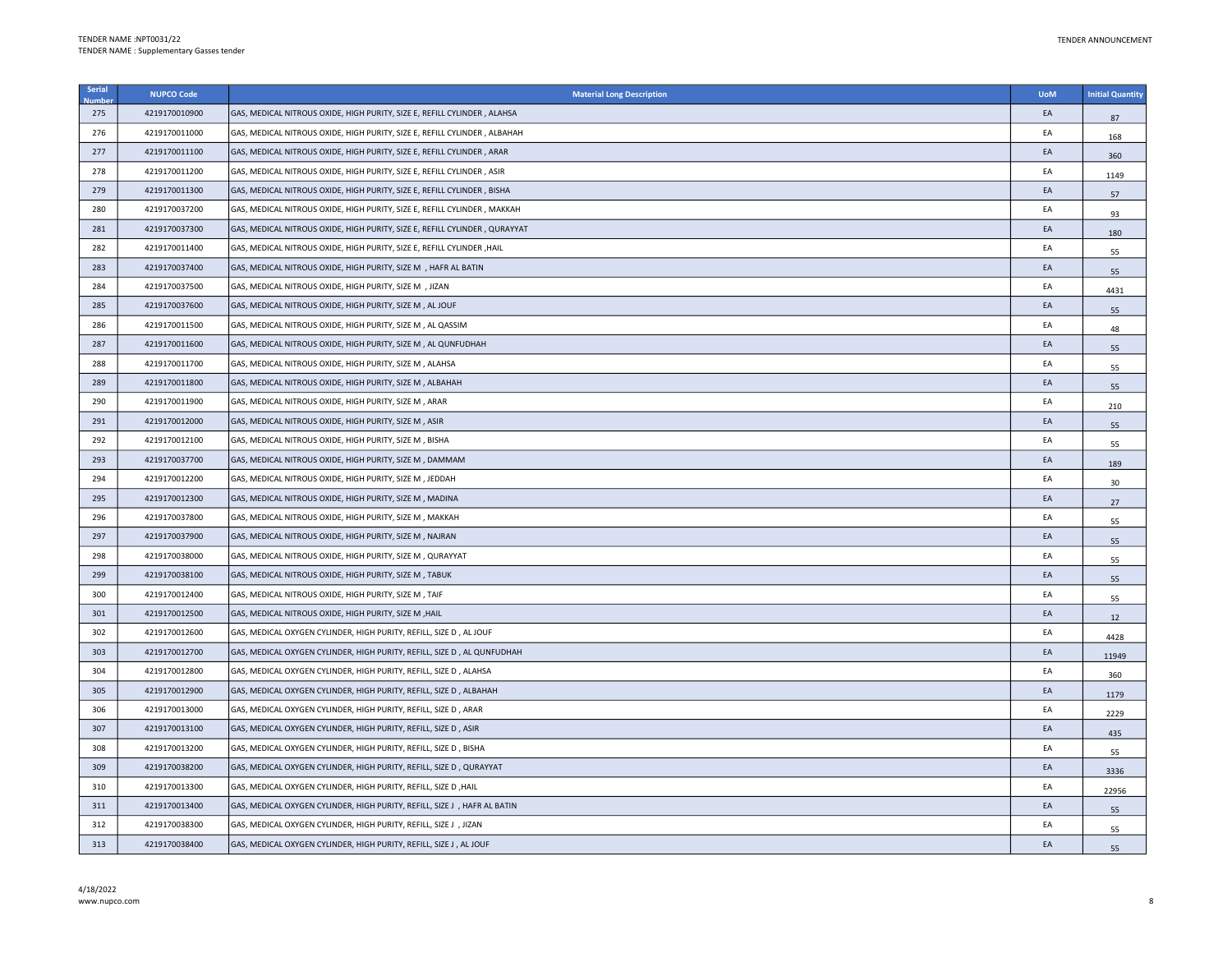| Serial | <b>NUPCO Code</b> | <b>Material Long Description</b>                                           | <b>UoM</b> | <b>Initial Quantity</b> |
|--------|-------------------|----------------------------------------------------------------------------|------------|-------------------------|
| 275    | 4219170010900     | GAS, MEDICAL NITROUS OXIDE, HIGH PURITY, SIZE E, REFILL CYLINDER, ALAHSA   | EA         | 87                      |
| 276    | 4219170011000     | GAS, MEDICAL NITROUS OXIDE, HIGH PURITY, SIZE E, REFILL CYLINDER, ALBAHAH  | EA         | 168                     |
| 277    | 4219170011100     | GAS, MEDICAL NITROUS OXIDE, HIGH PURITY, SIZE E, REFILL CYLINDER, ARAR     | EA         | 360                     |
| 278    | 4219170011200     | GAS, MEDICAL NITROUS OXIDE, HIGH PURITY, SIZE E, REFILL CYLINDER, ASIR     | EA         | 1149                    |
| 279    | 4219170011300     | GAS, MEDICAL NITROUS OXIDE, HIGH PURITY, SIZE E, REFILL CYLINDER, BISHA    | EA         | 57                      |
| 280    | 4219170037200     | GAS, MEDICAL NITROUS OXIDE, HIGH PURITY, SIZE E, REFILL CYLINDER, MAKKAH   | EA         | 93                      |
| 281    | 4219170037300     | GAS, MEDICAL NITROUS OXIDE, HIGH PURITY, SIZE E, REFILL CYLINDER, QURAYYAT | EA         | 180                     |
| 282    | 4219170011400     | GAS, MEDICAL NITROUS OXIDE, HIGH PURITY, SIZE E, REFILL CYLINDER , HAIL    | EA         | 55                      |
| 283    | 4219170037400     | GAS, MEDICAL NITROUS OXIDE, HIGH PURITY, SIZE M , HAFR AL BATIN            | EA         | 55                      |
| 284    | 4219170037500     | GAS, MEDICAL NITROUS OXIDE, HIGH PURITY, SIZE M , JIZAN                    | EA         | 4431                    |
| 285    | 4219170037600     | GAS, MEDICAL NITROUS OXIDE, HIGH PURITY, SIZE M, AL JOUF                   | EA         | 55                      |
| 286    | 4219170011500     | GAS, MEDICAL NITROUS OXIDE, HIGH PURITY, SIZE M, AL QASSIM                 | EA         | 48                      |
| 287    | 4219170011600     | GAS, MEDICAL NITROUS OXIDE, HIGH PURITY, SIZE M, AL QUNFUDHAH              | EA         | 55                      |
| 288    | 4219170011700     | GAS, MEDICAL NITROUS OXIDE, HIGH PURITY, SIZE M, ALAHSA                    | EA         | 55                      |
| 289    | 4219170011800     | GAS, MEDICAL NITROUS OXIDE, HIGH PURITY, SIZE M, ALBAHAH                   | EA         | 55                      |
| 290    | 4219170011900     | GAS, MEDICAL NITROUS OXIDE, HIGH PURITY, SIZE M, ARAR                      | EA         | 210                     |
| 291    | 4219170012000     | GAS, MEDICAL NITROUS OXIDE, HIGH PURITY, SIZE M, ASIR                      | EA         | 55                      |
| 292    | 4219170012100     | GAS, MEDICAL NITROUS OXIDE, HIGH PURITY, SIZE M, BISHA                     | EA         | 55                      |
| 293    | 4219170037700     | GAS, MEDICAL NITROUS OXIDE, HIGH PURITY, SIZE M, DAMMAM                    | EA         | 189                     |
| 294    | 4219170012200     | GAS, MEDICAL NITROUS OXIDE, HIGH PURITY, SIZE M, JEDDAH                    | EA         | 30                      |
| 295    | 4219170012300     | GAS, MEDICAL NITROUS OXIDE, HIGH PURITY, SIZE M, MADINA                    | EA         | 27                      |
| 296    | 4219170037800     | GAS, MEDICAL NITROUS OXIDE, HIGH PURITY, SIZE M, MAKKAH                    | EA         | 55                      |
| 297    | 4219170037900     | GAS, MEDICAL NITROUS OXIDE, HIGH PURITY, SIZE M, NAJRAN                    | EA         | 55                      |
| 298    | 4219170038000     | GAS, MEDICAL NITROUS OXIDE, HIGH PURITY, SIZE M, QURAYYAT                  | EA         | 55                      |
| 299    | 4219170038100     | GAS, MEDICAL NITROUS OXIDE, HIGH PURITY, SIZE M, TABUK                     | EA         | 55                      |
| 300    | 4219170012400     | GAS, MEDICAL NITROUS OXIDE, HIGH PURITY, SIZE M, TAIF                      | EA         | 55                      |
| 301    | 4219170012500     | GAS, MEDICAL NITROUS OXIDE, HIGH PURITY, SIZE M, HAIL                      | EA         | 12                      |
| 302    | 4219170012600     | GAS, MEDICAL OXYGEN CYLINDER, HIGH PURITY, REFILL, SIZE D, AL JOUF         | EA         | 4428                    |
| 303    | 4219170012700     | GAS, MEDICAL OXYGEN CYLINDER, HIGH PURITY, REFILL, SIZE D, AL QUNFUDHAH    | EA         | 11949                   |
| 304    | 4219170012800     | GAS, MEDICAL OXYGEN CYLINDER, HIGH PURITY, REFILL, SIZE D, ALAHSA          | EA         | 360                     |
| 305    | 4219170012900     | GAS, MEDICAL OXYGEN CYLINDER, HIGH PURITY, REFILL, SIZE D, ALBAHAH         | EA         | 1179                    |
| 306    | 4219170013000     | GAS, MEDICAL OXYGEN CYLINDER, HIGH PURITY, REFILL, SIZE D, ARAR            | EA         | 2229                    |
| 307    | 4219170013100     | GAS, MEDICAL OXYGEN CYLINDER, HIGH PURITY, REFILL, SIZE D, ASIR            | EA         | 435                     |
| 308    | 4219170013200     | GAS, MEDICAL OXYGEN CYLINDER, HIGH PURITY, REFILL, SIZE D, BISHA           | EA         | 55                      |
| 309    | 4219170038200     | GAS, MEDICAL OXYGEN CYLINDER, HIGH PURITY, REFILL, SIZE D, QURAYYAT        | EA         | 3336                    |
| 310    | 4219170013300     | GAS, MEDICAL OXYGEN CYLINDER, HIGH PURITY, REFILL, SIZE D, HAIL            | EA         | 22956                   |
| 311    | 4219170013400     | GAS, MEDICAL OXYGEN CYLINDER, HIGH PURITY, REFILL, SIZE J , HAFR AL BATIN  | EA         | 55                      |
| 312    | 4219170038300     | GAS, MEDICAL OXYGEN CYLINDER, HIGH PURITY, REFILL, SIZE J , JIZAN          | EA         | 55                      |
| 313    | 4219170038400     | GAS, MEDICAL OXYGEN CYLINDER, HIGH PURITY, REFILL, SIZE J, AL JOUF         | EA         | 55                      |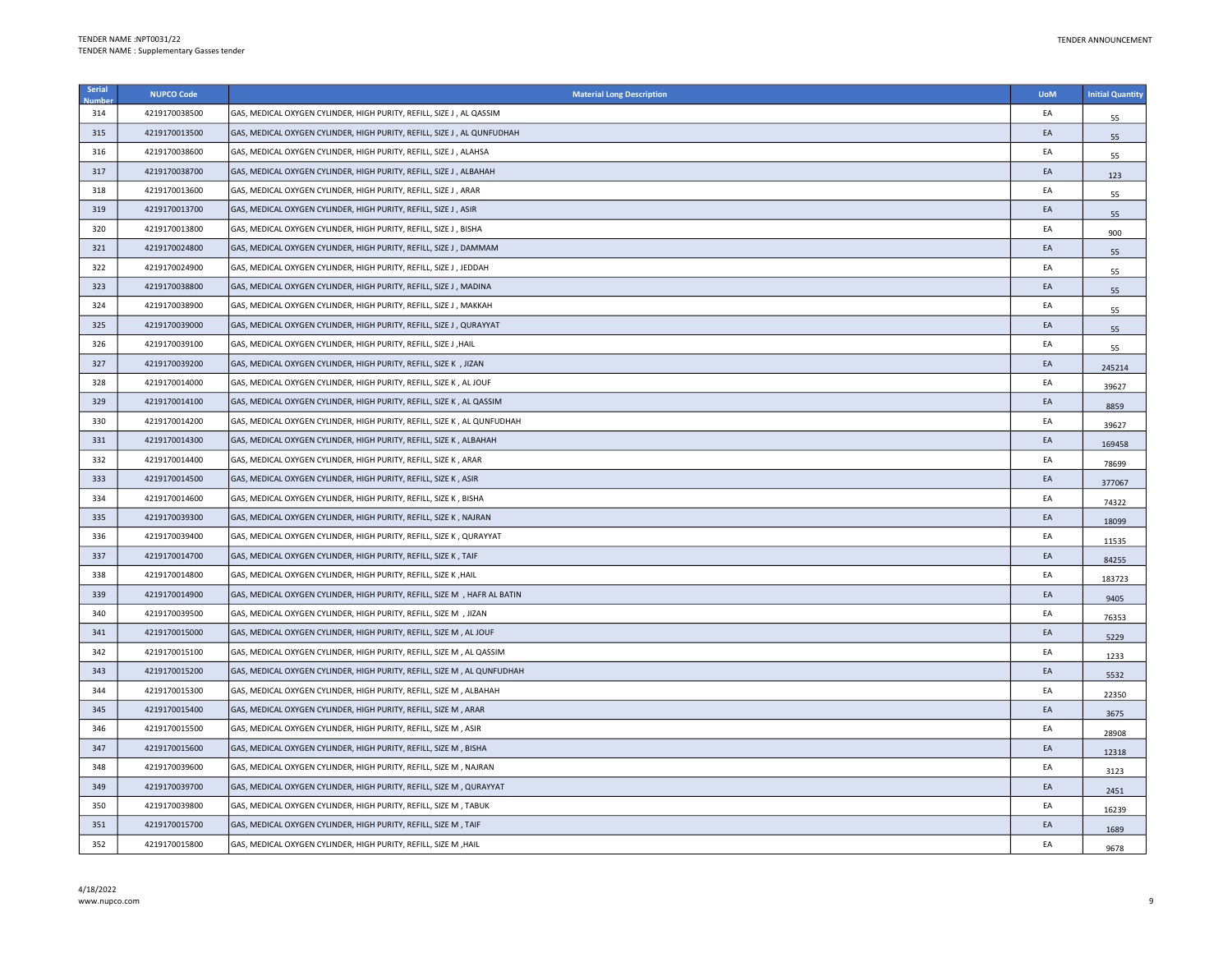| Serial | <b>NUPCO Code</b> | <b>Material Long Description</b>                                          | <b>UoM</b> | <b>Initial Quantity</b> |
|--------|-------------------|---------------------------------------------------------------------------|------------|-------------------------|
| 314    | 4219170038500     | GAS, MEDICAL OXYGEN CYLINDER, HIGH PURITY, REFILL, SIZE J , AL QASSIM     | EA         | 55                      |
| 315    | 4219170013500     | GAS, MEDICAL OXYGEN CYLINDER, HIGH PURITY, REFILL, SIZE J, AL QUNFUDHAH   | EA         | 55                      |
| 316    | 4219170038600     | GAS, MEDICAL OXYGEN CYLINDER, HIGH PURITY, REFILL, SIZE J, ALAHSA         | EA         | 55                      |
| 317    | 4219170038700     | GAS, MEDICAL OXYGEN CYLINDER, HIGH PURITY, REFILL, SIZE J, ALBAHAH        | EA         | 123                     |
| 318    | 4219170013600     | GAS, MEDICAL OXYGEN CYLINDER, HIGH PURITY, REFILL, SIZE J, ARAR           | EA         | 55                      |
| 319    | 4219170013700     | GAS, MEDICAL OXYGEN CYLINDER, HIGH PURITY, REFILL, SIZE J, ASIR           | EA         | 55                      |
| 320    | 4219170013800     | GAS, MEDICAL OXYGEN CYLINDER, HIGH PURITY, REFILL, SIZE J, BISHA          | EA         | 900                     |
| 321    | 4219170024800     | GAS, MEDICAL OXYGEN CYLINDER, HIGH PURITY, REFILL, SIZE J , DAMMAM        | EA         | 55                      |
| 322    | 4219170024900     | GAS, MEDICAL OXYGEN CYLINDER, HIGH PURITY, REFILL, SIZE J, JEDDAH         | EA         | 55                      |
| 323    | 4219170038800     | GAS, MEDICAL OXYGEN CYLINDER, HIGH PURITY, REFILL, SIZE J, MADINA         | EA         | 55                      |
| 324    | 4219170038900     | GAS, MEDICAL OXYGEN CYLINDER, HIGH PURITY, REFILL, SIZE J, MAKKAH         | EA         | 55                      |
| 325    | 4219170039000     | GAS, MEDICAL OXYGEN CYLINDER, HIGH PURITY, REFILL, SIZE J, QURAYYAT       | EA         | 55                      |
| 326    | 4219170039100     | GAS, MEDICAL OXYGEN CYLINDER, HIGH PURITY, REFILL, SIZE J , HAIL          | EA         | 55                      |
| 327    | 4219170039200     | GAS, MEDICAL OXYGEN CYLINDER, HIGH PURITY, REFILL, SIZE K , JIZAN         | EA         | 245214                  |
| 328    | 4219170014000     | GAS, MEDICAL OXYGEN CYLINDER, HIGH PURITY, REFILL, SIZE K, AL JOUF        | EA         | 39627                   |
| 329    | 4219170014100     | GAS, MEDICAL OXYGEN CYLINDER, HIGH PURITY, REFILL, SIZE K, AL QASSIM      | EA         | 8859                    |
| 330    | 4219170014200     | GAS, MEDICAL OXYGEN CYLINDER, HIGH PURITY, REFILL, SIZE K, AL QUNFUDHAH   | EA         | 39627                   |
| 331    | 4219170014300     | GAS, MEDICAL OXYGEN CYLINDER, HIGH PURITY, REFILL, SIZE K, ALBAHAH        | EA         | 169458                  |
| 332    | 4219170014400     | GAS, MEDICAL OXYGEN CYLINDER, HIGH PURITY, REFILL, SIZE K, ARAR           | EA         | 78699                   |
| 333    | 4219170014500     | GAS, MEDICAL OXYGEN CYLINDER, HIGH PURITY, REFILL, SIZE K, ASIR           | EA         | 377067                  |
| 334    | 4219170014600     | GAS, MEDICAL OXYGEN CYLINDER, HIGH PURITY, REFILL, SIZE K, BISHA          | EA         | 74322                   |
| 335    | 4219170039300     | GAS, MEDICAL OXYGEN CYLINDER, HIGH PURITY, REFILL, SIZE K, NAJRAN         | EA         | 18099                   |
| 336    | 4219170039400     | GAS, MEDICAL OXYGEN CYLINDER, HIGH PURITY, REFILL, SIZE K, QURAYYAT       | EA         | 11535                   |
| 337    | 4219170014700     | GAS, MEDICAL OXYGEN CYLINDER, HIGH PURITY, REFILL, SIZE K, TAIF           | EA         | 84255                   |
| 338    | 4219170014800     | GAS, MEDICAL OXYGEN CYLINDER, HIGH PURITY, REFILL, SIZE K, HAIL           | EA         | 183723                  |
| 339    | 4219170014900     | GAS, MEDICAL OXYGEN CYLINDER, HIGH PURITY, REFILL, SIZE M , HAFR AL BATIN | EA         | 9405                    |
| 340    | 4219170039500     | GAS, MEDICAL OXYGEN CYLINDER, HIGH PURITY, REFILL, SIZE M , JIZAN         | EA         | 76353                   |
| 341    | 4219170015000     | GAS, MEDICAL OXYGEN CYLINDER, HIGH PURITY, REFILL, SIZE M, AL JOUF        | EA         | 5229                    |
| 342    | 4219170015100     | GAS, MEDICAL OXYGEN CYLINDER, HIGH PURITY, REFILL, SIZE M, AL QASSIM      | EA         | 1233                    |
| 343    | 4219170015200     | GAS, MEDICAL OXYGEN CYLINDER, HIGH PURITY, REFILL, SIZE M, AL QUNFUDHAH   | EA         | 5532                    |
| 344    | 4219170015300     | GAS, MEDICAL OXYGEN CYLINDER, HIGH PURITY, REFILL, SIZE M, ALBAHAH        | EA         | 22350                   |
| 345    | 4219170015400     | GAS, MEDICAL OXYGEN CYLINDER, HIGH PURITY, REFILL, SIZE M, ARAR           | EA         | 3675                    |
| 346    | 4219170015500     | GAS, MEDICAL OXYGEN CYLINDER, HIGH PURITY, REFILL, SIZE M, ASIR           | EA         | 28908                   |
| 347    | 4219170015600     | GAS, MEDICAL OXYGEN CYLINDER, HIGH PURITY, REFILL, SIZE M, BISHA          | EA         | 12318                   |
| 348    | 4219170039600     | GAS, MEDICAL OXYGEN CYLINDER, HIGH PURITY, REFILL, SIZE M, NAJRAN         | EA         | 3123                    |
| 349    | 4219170039700     | GAS, MEDICAL OXYGEN CYLINDER, HIGH PURITY, REFILL, SIZE M, QURAYYAT       | EA         | 2451                    |
| 350    | 4219170039800     | GAS, MEDICAL OXYGEN CYLINDER, HIGH PURITY, REFILL, SIZE M, TABUK          | EA         | 16239                   |
| 351    | 4219170015700     | GAS, MEDICAL OXYGEN CYLINDER, HIGH PURITY, REFILL, SIZE M, TAIF           | EA         | 1689                    |
| 352    | 4219170015800     | GAS, MEDICAL OXYGEN CYLINDER, HIGH PURITY, REFILL, SIZE M, HAIL           | EA         | 9678                    |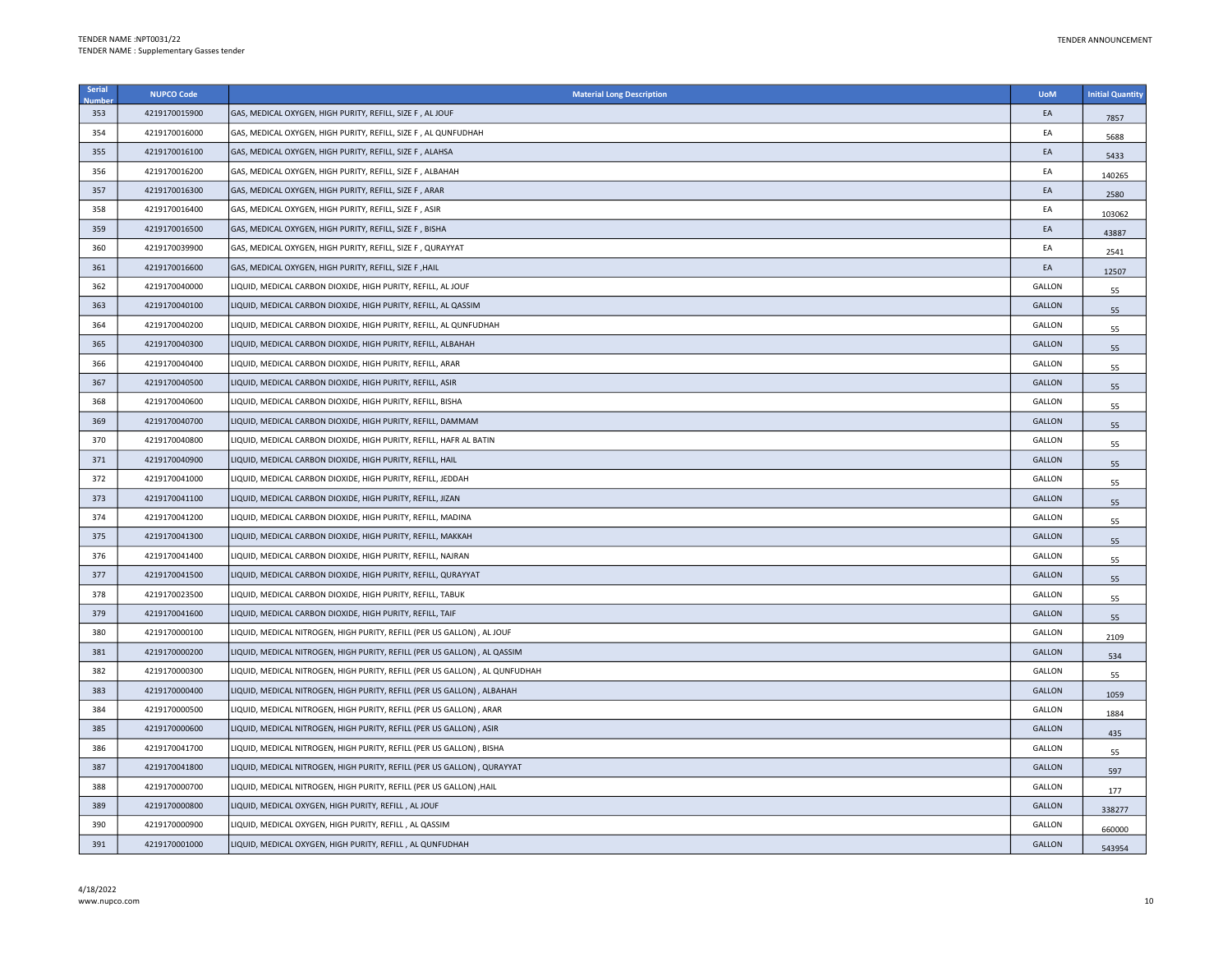| Serial | <b>NUPCO Code</b> | <b>Material Long Description</b>                                             | <b>UoM</b>    | <b>Initial Quantity</b> |
|--------|-------------------|------------------------------------------------------------------------------|---------------|-------------------------|
| 353    | 4219170015900     | GAS, MEDICAL OXYGEN, HIGH PURITY, REFILL, SIZE F, AL JOUF                    | EA            | 7857                    |
| 354    | 4219170016000     | GAS, MEDICAL OXYGEN, HIGH PURITY, REFILL, SIZE F, AL QUNFUDHAH               | EA            | 5688                    |
| 355    | 4219170016100     | GAS, MEDICAL OXYGEN, HIGH PURITY, REFILL, SIZE F, ALAHSA                     | EA            | 5433                    |
| 356    | 4219170016200     | GAS, MEDICAL OXYGEN, HIGH PURITY, REFILL, SIZE F, ALBAHAH                    | EA            | 140265                  |
| 357    | 4219170016300     | GAS, MEDICAL OXYGEN, HIGH PURITY, REFILL, SIZE F, ARAR                       | EA            | 2580                    |
| 358    | 4219170016400     | GAS, MEDICAL OXYGEN, HIGH PURITY, REFILL, SIZE F , ASIR                      | EA            | 103062                  |
| 359    | 4219170016500     | GAS, MEDICAL OXYGEN, HIGH PURITY, REFILL, SIZE F, BISHA                      | EA            | 43887                   |
| 360    | 4219170039900     | GAS, MEDICAL OXYGEN, HIGH PURITY, REFILL, SIZE F , QURAYYAT                  | EA            | 2541                    |
| 361    | 4219170016600     | GAS, MEDICAL OXYGEN, HIGH PURITY, REFILL, SIZE F , HAIL                      | EA            | 12507                   |
| 362    | 4219170040000     | LIQUID, MEDICAL CARBON DIOXIDE, HIGH PURITY, REFILL, AL JOUF                 | <b>GALLON</b> | 55                      |
| 363    | 4219170040100     | LIQUID, MEDICAL CARBON DIOXIDE, HIGH PURITY, REFILL, AL QASSIM               | <b>GALLON</b> | 55                      |
| 364    | 4219170040200     | LIQUID, MEDICAL CARBON DIOXIDE, HIGH PURITY, REFILL, AL QUNFUDHAH            | <b>GALLON</b> | 55                      |
| 365    | 4219170040300     | LIQUID, MEDICAL CARBON DIOXIDE, HIGH PURITY, REFILL, ALBAHAH                 | GALLON        | 55                      |
| 366    | 4219170040400     | LIQUID, MEDICAL CARBON DIOXIDE, HIGH PURITY, REFILL, ARAR                    | <b>GALLON</b> | 55                      |
| 367    | 4219170040500     | LIQUID, MEDICAL CARBON DIOXIDE, HIGH PURITY, REFILL, ASIR                    | GALLON        | 55                      |
| 368    | 4219170040600     | LIQUID, MEDICAL CARBON DIOXIDE, HIGH PURITY, REFILL, BISHA                   | GALLON        | 55                      |
| 369    | 4219170040700     | LIQUID, MEDICAL CARBON DIOXIDE, HIGH PURITY, REFILL, DAMMAM                  | <b>GALLON</b> | 55                      |
| 370    | 4219170040800     | LIQUID, MEDICAL CARBON DIOXIDE, HIGH PURITY, REFILL, HAFR AL BATIN           | <b>GALLON</b> | 55                      |
| 371    | 4219170040900     | LIQUID, MEDICAL CARBON DIOXIDE, HIGH PURITY, REFILL, HAIL                    | <b>GALLON</b> | 55                      |
| 372    | 4219170041000     | LIQUID, MEDICAL CARBON DIOXIDE, HIGH PURITY, REFILL, JEDDAH                  | GALLON        | 55                      |
| 373    | 4219170041100     | LIQUID, MEDICAL CARBON DIOXIDE, HIGH PURITY, REFILL, JIZAN                   | <b>GALLON</b> | 55                      |
| 374    | 4219170041200     | LIQUID, MEDICAL CARBON DIOXIDE, HIGH PURITY, REFILL, MADINA                  | GALLON        | 55                      |
| 375    | 4219170041300     | LIQUID, MEDICAL CARBON DIOXIDE, HIGH PURITY, REFILL, MAKKAH                  | <b>GALLON</b> | 55                      |
| 376    | 4219170041400     | LIQUID, MEDICAL CARBON DIOXIDE, HIGH PURITY, REFILL, NAJRAN                  | GALLON        | 55                      |
| 377    | 4219170041500     | LIQUID, MEDICAL CARBON DIOXIDE, HIGH PURITY, REFILL, QURAYYAT                | <b>GALLON</b> | 55                      |
| 378    | 4219170023500     | LIQUID, MEDICAL CARBON DIOXIDE, HIGH PURITY, REFILL, TABUK                   | GALLON        | 55                      |
| 379    | 4219170041600     | LIQUID, MEDICAL CARBON DIOXIDE, HIGH PURITY, REFILL, TAIF                    | GALLON        | 55                      |
| 380    | 4219170000100     | LIQUID, MEDICAL NITROGEN, HIGH PURITY, REFILL (PER US GALLON) , AL JOUF      | GALLON        | 2109                    |
| 381    | 4219170000200     | LIQUID, MEDICAL NITROGEN, HIGH PURITY, REFILL (PER US GALLON) , AL QASSIM    | GALLON        | 534                     |
| 382    | 4219170000300     | LIQUID, MEDICAL NITROGEN, HIGH PURITY, REFILL (PER US GALLON) , AL QUNFUDHAH | GALLON        | 55                      |
| 383    | 4219170000400     | LIQUID, MEDICAL NITROGEN, HIGH PURITY, REFILL (PER US GALLON) , ALBAHAH      | GALLON        | 1059                    |
| 384    | 4219170000500     | LIQUID, MEDICAL NITROGEN, HIGH PURITY, REFILL (PER US GALLON) , ARAR         | GALLON        | 1884                    |
| 385    | 4219170000600     | LIQUID, MEDICAL NITROGEN, HIGH PURITY, REFILL (PER US GALLON) , ASIR         | <b>GALLON</b> | 435                     |
| 386    | 4219170041700     | LIQUID, MEDICAL NITROGEN, HIGH PURITY, REFILL (PER US GALLON) , BISHA        | <b>GALLON</b> | 55                      |
| 387    | 4219170041800     | LIQUID, MEDICAL NITROGEN, HIGH PURITY, REFILL (PER US GALLON), QURAYYAT      | GALLON        | 597                     |
| 388    | 4219170000700     | LIQUID, MEDICAL NITROGEN, HIGH PURITY, REFILL (PER US GALLON) , HAIL         | <b>GALLON</b> | 177                     |
| 389    | 4219170000800     | LIQUID, MEDICAL OXYGEN, HIGH PURITY, REFILL, AL JOUF                         | <b>GALLON</b> | 338277                  |
| 390    | 4219170000900     | LIQUID, MEDICAL OXYGEN, HIGH PURITY, REFILL, AL QASSIM                       | GALLON        | 660000                  |
| 391    | 4219170001000     | LIQUID, MEDICAL OXYGEN, HIGH PURITY, REFILL, AL QUNFUDHAH                    | <b>GALLON</b> | 543954                  |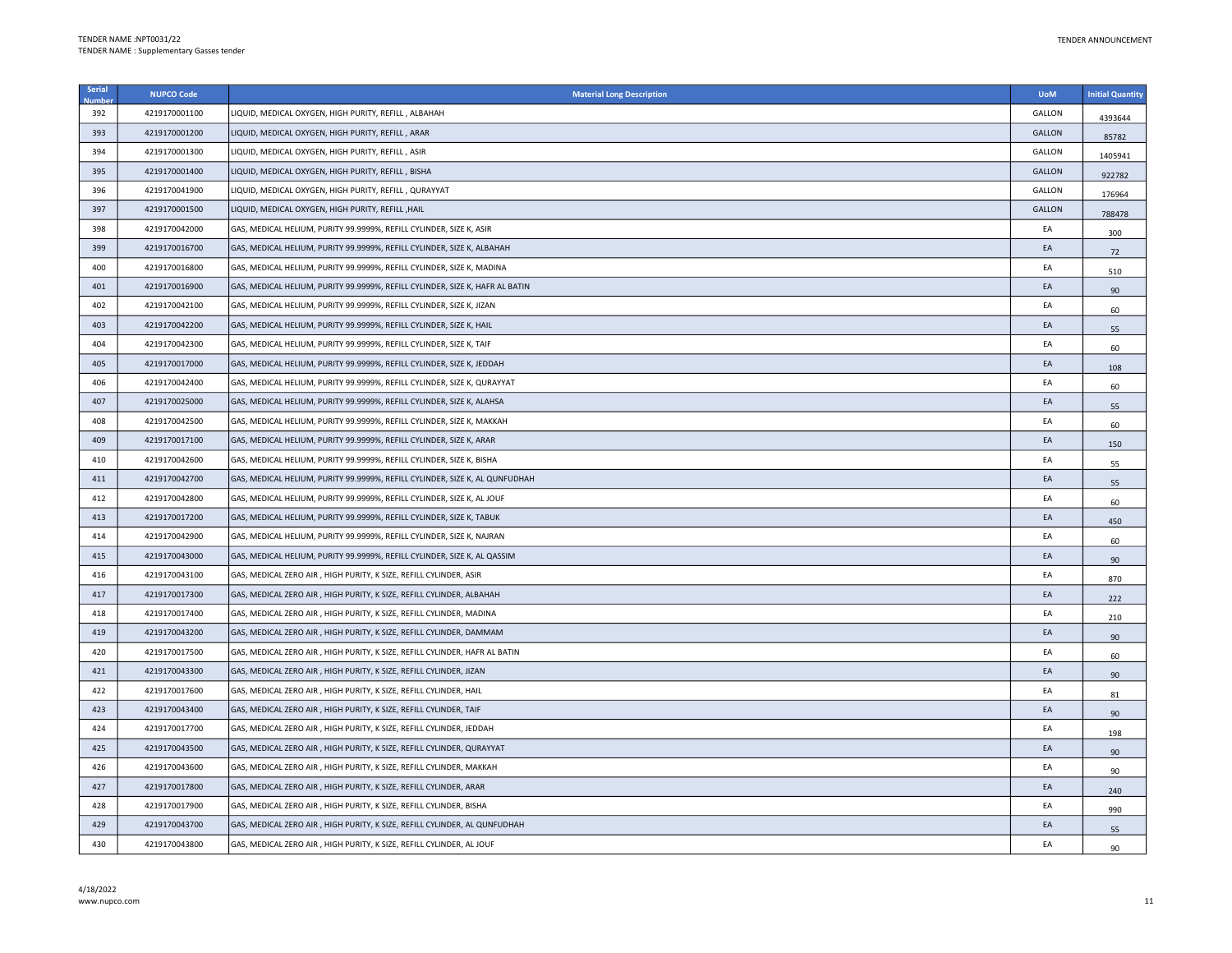| Serial | <b>NUPCO Code</b> | <b>Material Long Description</b>                                             | <b>UoM</b> | <b>Initial Quantity</b> |
|--------|-------------------|------------------------------------------------------------------------------|------------|-------------------------|
| 392    | 4219170001100     | LIQUID, MEDICAL OXYGEN, HIGH PURITY, REFILL, ALBAHAH                         | GALLON     | 4393644                 |
| 393    | 4219170001200     | LIQUID, MEDICAL OXYGEN, HIGH PURITY, REFILL, ARAR                            | GALLON     | 85782                   |
| 394    | 4219170001300     | LIQUID, MEDICAL OXYGEN, HIGH PURITY, REFILL, ASIR                            | GALLON     | 1405941                 |
| 395    | 4219170001400     | LIQUID, MEDICAL OXYGEN, HIGH PURITY, REFILL, BISHA                           | GALLON     | 922782                  |
| 396    | 4219170041900     | LIQUID, MEDICAL OXYGEN, HIGH PURITY, REFILL, QURAYYAT                        | GALLON     | 176964                  |
| 397    | 4219170001500     | LIQUID, MEDICAL OXYGEN, HIGH PURITY, REFILL , HAIL                           | GALLON     | 788478                  |
| 398    | 4219170042000     | GAS, MEDICAL HELIUM, PURITY 99.9999%, REFILL CYLINDER, SIZE K, ASIR          | EA         | 300                     |
| 399    | 4219170016700     | GAS, MEDICAL HELIUM, PURITY 99.9999%, REFILL CYLINDER, SIZE K, ALBAHAH       | EA         | 72                      |
| 400    | 4219170016800     | GAS, MEDICAL HELIUM, PURITY 99.9999%, REFILL CYLINDER, SIZE K, MADINA        | EA         | 510                     |
| 401    | 4219170016900     | GAS, MEDICAL HELIUM, PURITY 99.9999%, REFILL CYLINDER, SIZE K, HAFR AL BATIN | EA         | 90                      |
| 402    | 4219170042100     | GAS, MEDICAL HELIUM, PURITY 99.9999%, REFILL CYLINDER, SIZE K, JIZAN         | EA         | 60                      |
| 403    | 4219170042200     | GAS, MEDICAL HELIUM, PURITY 99.9999%, REFILL CYLINDER, SIZE K, HAIL          | EA         | 55                      |
| 404    | 4219170042300     | GAS, MEDICAL HELIUM, PURITY 99.9999%, REFILL CYLINDER, SIZE K, TAIF          | EA         | 60                      |
| 405    | 4219170017000     | GAS, MEDICAL HELIUM, PURITY 99.9999%, REFILL CYLINDER, SIZE K, JEDDAH        | EA         | 108                     |
| 406    | 4219170042400     | GAS, MEDICAL HELIUM, PURITY 99.9999%, REFILL CYLINDER, SIZE K, QURAYYAT      | EA         | 60                      |
| 407    | 4219170025000     | GAS, MEDICAL HELIUM, PURITY 99.9999%, REFILL CYLINDER, SIZE K, ALAHSA        | EA         | 55                      |
| 408    | 4219170042500     | GAS, MEDICAL HELIUM, PURITY 99.9999%, REFILL CYLINDER, SIZE K, MAKKAH        | EA         | 60                      |
| 409    | 4219170017100     | GAS, MEDICAL HELIUM, PURITY 99.9999%, REFILL CYLINDER, SIZE K, ARAR          | EA         | 150                     |
| 410    | 4219170042600     | GAS, MEDICAL HELIUM, PURITY 99.9999%, REFILL CYLINDER, SIZE K, BISHA         | EA         | 55                      |
| 411    | 4219170042700     | GAS, MEDICAL HELIUM, PURITY 99.9999%, REFILL CYLINDER, SIZE K, AL QUNFUDHAH  | EA         | 55                      |
| 412    | 4219170042800     | GAS, MEDICAL HELIUM, PURITY 99.9999%, REFILL CYLINDER, SIZE K, AL JOUF       | EA         | 60                      |
| 413    | 4219170017200     | GAS, MEDICAL HELIUM, PURITY 99.9999%, REFILL CYLINDER, SIZE K, TABUK         | EA         | 450                     |
| 414    | 4219170042900     | GAS, MEDICAL HELIUM, PURITY 99.9999%, REFILL CYLINDER, SIZE K, NAJRAN        | EA         | 60                      |
| 415    | 4219170043000     | GAS, MEDICAL HELIUM, PURITY 99.9999%, REFILL CYLINDER, SIZE K, AL QASSIM     | EA         | 90                      |
| 416    | 4219170043100     | GAS, MEDICAL ZERO AIR, HIGH PURITY, K SIZE, REFILL CYLINDER, ASIR            | EA         | 870                     |
| 417    | 4219170017300     | GAS, MEDICAL ZERO AIR, HIGH PURITY, K SIZE, REFILL CYLINDER, ALBAHAH         | EA         | 222                     |
| 418    | 4219170017400     | GAS, MEDICAL ZERO AIR, HIGH PURITY, K SIZE, REFILL CYLINDER, MADINA          | EA         | 210                     |
| 419    | 4219170043200     | GAS, MEDICAL ZERO AIR, HIGH PURITY, K SIZE, REFILL CYLINDER, DAMMAM          | EA         | 90                      |
| 420    | 4219170017500     | GAS, MEDICAL ZERO AIR, HIGH PURITY, K SIZE, REFILL CYLINDER, HAFR AL BATIN   | EA         | 60                      |
| 421    | 4219170043300     | GAS, MEDICAL ZERO AIR, HIGH PURITY, K SIZE, REFILL CYLINDER, JIZAN           | EA         | 90                      |
| 422    | 4219170017600     | GAS, MEDICAL ZERO AIR, HIGH PURITY, K SIZE, REFILL CYLINDER, HAIL            | EA         | 81                      |
| 423    | 4219170043400     | GAS, MEDICAL ZERO AIR, HIGH PURITY, K SIZE, REFILL CYLINDER, TAIF            | EA         | 90                      |
| 424    | 4219170017700     | GAS, MEDICAL ZERO AIR, HIGH PURITY, K SIZE, REFILL CYLINDER, JEDDAH          | EA         | 198                     |
| 425    | 4219170043500     | GAS, MEDICAL ZERO AIR, HIGH PURITY, K SIZE, REFILL CYLINDER, QURAYYAT        | EA         | 90                      |
| 426    | 4219170043600     | GAS, MEDICAL ZERO AIR, HIGH PURITY, K SIZE, REFILL CYLINDER, MAKKAH          | EA         | 90                      |
| 427    | 4219170017800     | GAS, MEDICAL ZERO AIR, HIGH PURITY, K SIZE, REFILL CYLINDER, ARAR            | EA         | 240                     |
| 428    | 4219170017900     | GAS, MEDICAL ZERO AIR, HIGH PURITY, K SIZE, REFILL CYLINDER, BISHA           | EA         | 990                     |
| 429    | 4219170043700     | GAS, MEDICAL ZERO AIR, HIGH PURITY, K SIZE, REFILL CYLINDER, AL QUNFUDHAH    | EA         | 55                      |
| 430    | 4219170043800     | GAS, MEDICAL ZERO AIR, HIGH PURITY, K SIZE, REFILL CYLINDER, AL JOUF         | EA         | 90                      |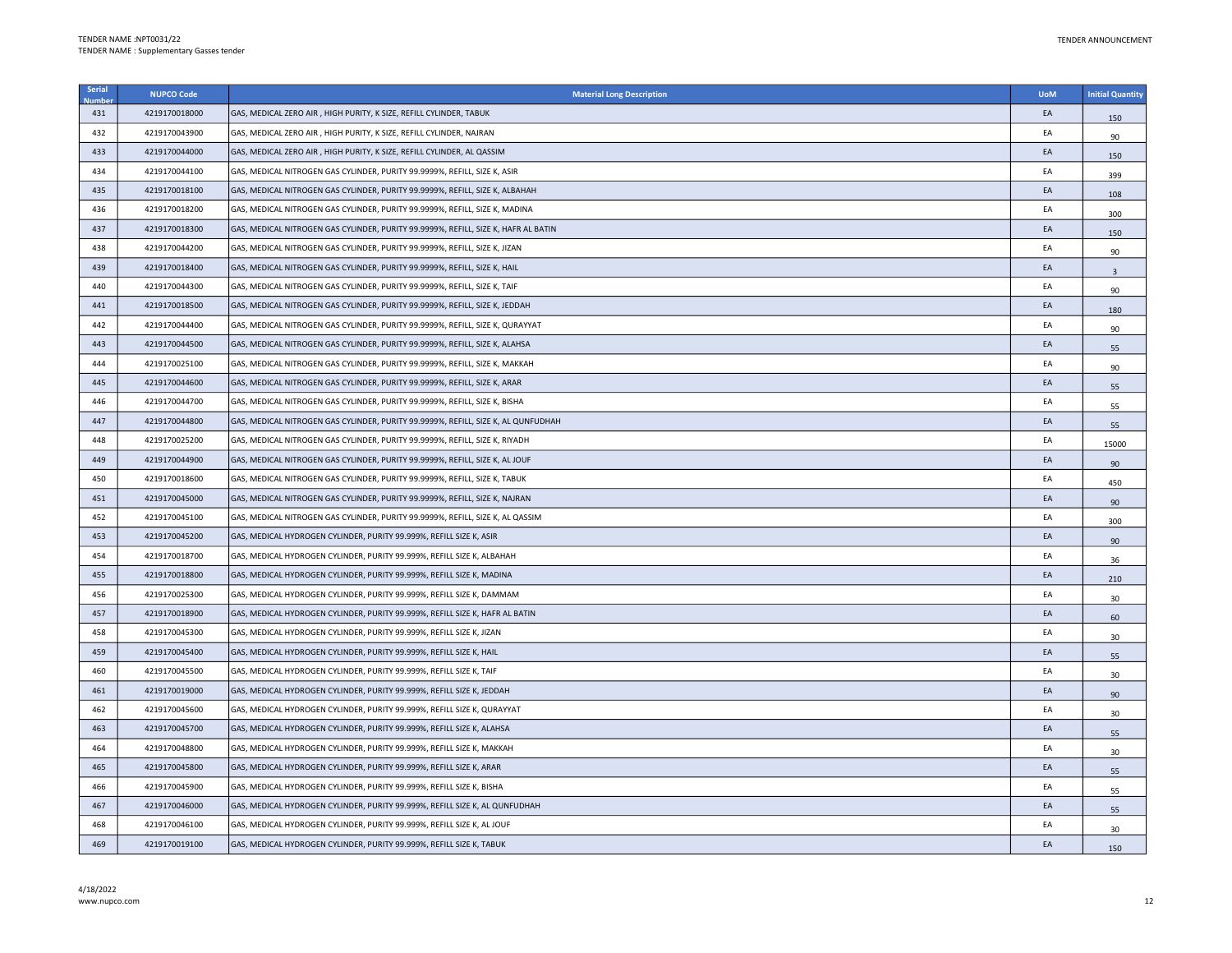| Serial | <b>NUPCO Code</b> | <b>Material Long Description</b>                                                   | <b>UoM</b> | <b>Initial Quantity</b> |
|--------|-------------------|------------------------------------------------------------------------------------|------------|-------------------------|
| 431    | 4219170018000     | GAS, MEDICAL ZERO AIR, HIGH PURITY, K SIZE, REFILL CYLINDER, TABUK                 | EA         | 150                     |
| 432    | 4219170043900     | GAS, MEDICAL ZERO AIR, HIGH PURITY, K SIZE, REFILL CYLINDER, NAJRAN                | EA         | 90                      |
| 433    | 4219170044000     | GAS, MEDICAL ZERO AIR, HIGH PURITY, K SIZE, REFILL CYLINDER, AL QASSIM             | EA         | 150                     |
| 434    | 4219170044100     | GAS, MEDICAL NITROGEN GAS CYLINDER, PURITY 99.9999%, REFILL, SIZE K, ASIR          | EA         | 399                     |
| 435    | 4219170018100     | GAS, MEDICAL NITROGEN GAS CYLINDER, PURITY 99.9999%, REFILL, SIZE K, ALBAHAH       | EA         | 108                     |
| 436    | 4219170018200     | GAS, MEDICAL NITROGEN GAS CYLINDER, PURITY 99.9999%, REFILL, SIZE K, MADINA        | EA         | 300                     |
| 437    | 4219170018300     | GAS, MEDICAL NITROGEN GAS CYLINDER, PURITY 99.9999%, REFILL, SIZE K, HAFR AL BATIN | EA         | 150                     |
| 438    | 4219170044200     | GAS, MEDICAL NITROGEN GAS CYLINDER, PURITY 99.9999%, REFILL, SIZE K, JIZAN         | EA         | 90                      |
| 439    | 4219170018400     | GAS, MEDICAL NITROGEN GAS CYLINDER, PURITY 99.9999%, REFILL, SIZE K, HAIL          | EA         | $\overline{3}$          |
| 440    | 4219170044300     | GAS, MEDICAL NITROGEN GAS CYLINDER, PURITY 99.9999%, REFILL, SIZE K, TAIF          | EA         | 90                      |
| 441    | 4219170018500     | GAS, MEDICAL NITROGEN GAS CYLINDER, PURITY 99.9999%, REFILL, SIZE K, JEDDAH        | EA         | 180                     |
| 442    | 4219170044400     | GAS, MEDICAL NITROGEN GAS CYLINDER, PURITY 99.9999%, REFILL, SIZE K, QURAYYAT      | EA         | 90                      |
| 443    | 4219170044500     | GAS, MEDICAL NITROGEN GAS CYLINDER, PURITY 99.9999%, REFILL, SIZE K, ALAHSA        | EA         | 55                      |
| 444    | 4219170025100     | GAS, MEDICAL NITROGEN GAS CYLINDER, PURITY 99.9999%, REFILL, SIZE K, MAKKAH        | EA         | 90                      |
| 445    | 4219170044600     | GAS, MEDICAL NITROGEN GAS CYLINDER, PURITY 99.9999%, REFILL, SIZE K, ARAR          | EA         | 55                      |
| 446    | 4219170044700     | GAS, MEDICAL NITROGEN GAS CYLINDER, PURITY 99.9999%, REFILL, SIZE K, BISHA         | EA         | 55                      |
| 447    | 4219170044800     | GAS, MEDICAL NITROGEN GAS CYLINDER, PURITY 99.9999%, REFILL, SIZE K, AL QUNFUDHAH  | EA         | 55                      |
| 448    | 4219170025200     | GAS, MEDICAL NITROGEN GAS CYLINDER, PURITY 99.9999%, REFILL, SIZE K, RIYADH        | EA         | 15000                   |
| 449    | 4219170044900     | GAS, MEDICAL NITROGEN GAS CYLINDER, PURITY 99.9999%, REFILL, SIZE K, AL JOUF       | EA         | 90                      |
| 450    | 4219170018600     | GAS, MEDICAL NITROGEN GAS CYLINDER, PURITY 99.9999%, REFILL, SIZE K, TABUK         | EA         | 450                     |
| 451    | 4219170045000     | GAS, MEDICAL NITROGEN GAS CYLINDER, PURITY 99.9999%, REFILL, SIZE K, NAJRAN        | EA         | 90                      |
| 452    | 4219170045100     | GAS, MEDICAL NITROGEN GAS CYLINDER, PURITY 99.9999%, REFILL, SIZE K, AL QASSIM     | EA         | 300                     |
| 453    | 4219170045200     | GAS, MEDICAL HYDROGEN CYLINDER, PURITY 99.999%, REFILL SIZE K, ASIR                | EA         | 90                      |
| 454    | 4219170018700     | GAS, MEDICAL HYDROGEN CYLINDER, PURITY 99.999%, REFILL SIZE K, ALBAHAH             | EA         | 36                      |
| 455    | 4219170018800     | GAS, MEDICAL HYDROGEN CYLINDER, PURITY 99.999%, REFILL SIZE K, MADINA              | EA         | 210                     |
| 456    | 4219170025300     | GAS, MEDICAL HYDROGEN CYLINDER, PURITY 99.999%, REFILL SIZE K, DAMMAM              | EA         | 30                      |
| 457    | 4219170018900     | GAS, MEDICAL HYDROGEN CYLINDER, PURITY 99.999%, REFILL SIZE K, HAFR AL BATIN       | EA         | 60                      |
| 458    | 4219170045300     | GAS, MEDICAL HYDROGEN CYLINDER, PURITY 99.999%, REFILL SIZE K, JIZAN               | EA         | 30 <sub>o</sub>         |
| 459    | 4219170045400     | GAS, MEDICAL HYDROGEN CYLINDER, PURITY 99.999%, REFILL SIZE K, HAIL                | EA         | 55                      |
| 460    | 4219170045500     | GAS, MEDICAL HYDROGEN CYLINDER, PURITY 99.999%, REFILL SIZE K, TAIF                | EA         | 30 <sup>°</sup>         |
| 461    | 4219170019000     | GAS, MEDICAL HYDROGEN CYLINDER, PURITY 99.999%, REFILL SIZE K, JEDDAH              | EA         | 90                      |
| 462    | 4219170045600     | GAS, MEDICAL HYDROGEN CYLINDER, PURITY 99.999%, REFILL SIZE K, QURAYYAT            | EA         | 30 <sup>°</sup>         |
| 463    | 4219170045700     | GAS, MEDICAL HYDROGEN CYLINDER, PURITY 99.999%, REFILL SIZE K, ALAHSA              | EA         | 55                      |
| 464    | 4219170048800     | GAS, MEDICAL HYDROGEN CYLINDER, PURITY 99.999%, REFILL SIZE K, MAKKAH              | EA         | 30                      |
| 465    | 4219170045800     | GAS, MEDICAL HYDROGEN CYLINDER, PURITY 99.999%, REFILL SIZE K, ARAR                | EA         | 55                      |
| 466    | 4219170045900     | GAS, MEDICAL HYDROGEN CYLINDER, PURITY 99.999%, REFILL SIZE K, BISHA               | EA         | 55                      |
| 467    | 4219170046000     | GAS, MEDICAL HYDROGEN CYLINDER, PURITY 99.999%, REFILL SIZE K, AL QUNFUDHAH        | EA         | 55                      |
| 468    | 4219170046100     | GAS, MEDICAL HYDROGEN CYLINDER, PURITY 99.999%, REFILL SIZE K, AL JOUF             | ΕA         | 30                      |
| 469    | 4219170019100     | GAS, MEDICAL HYDROGEN CYLINDER, PURITY 99.999%, REFILL SIZE K, TABUK               | EA         | 150                     |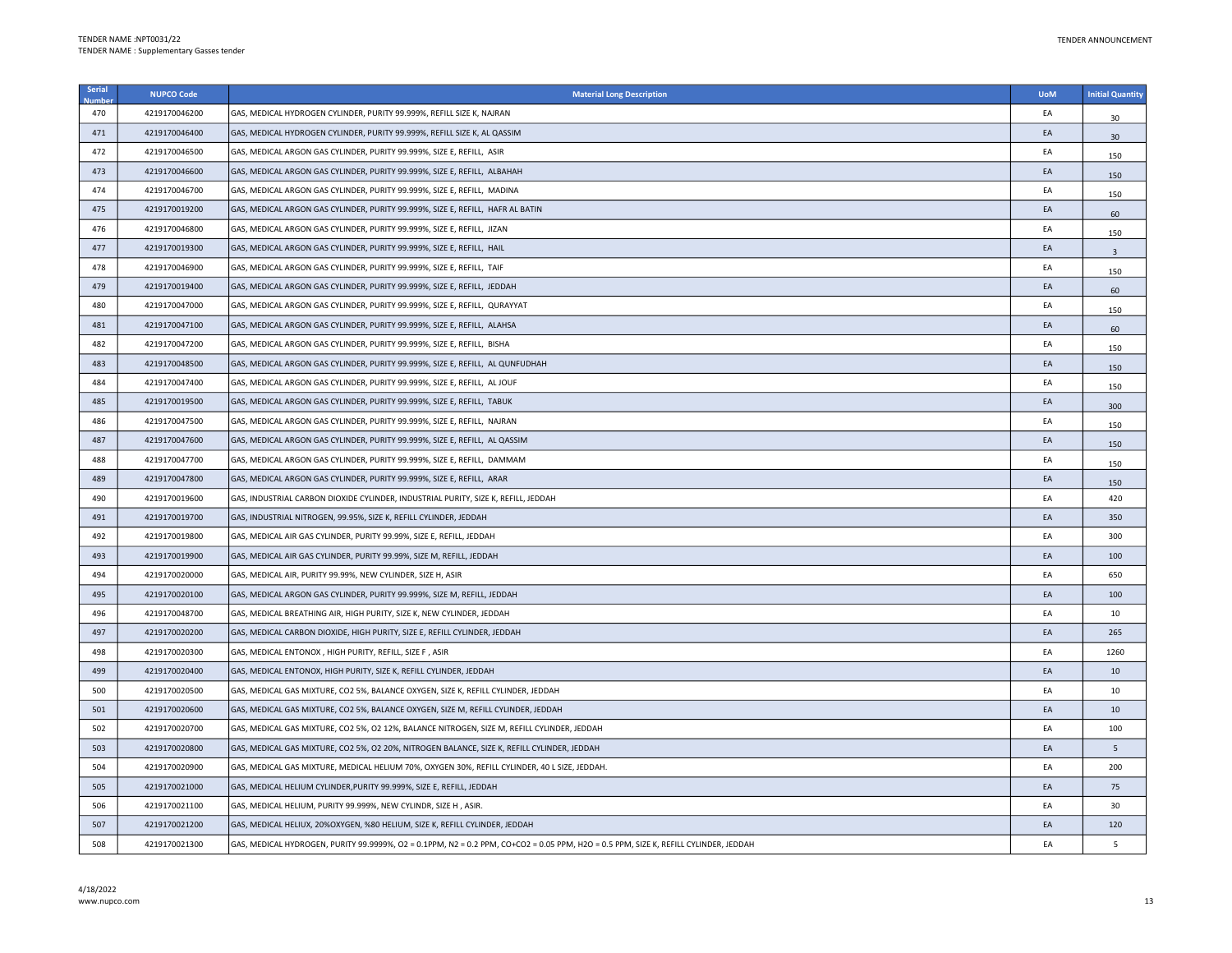| Serial | <b>NUPCO Code</b> | <b>Material Long Description</b>                                                                                                     | <b>UoM</b> | <b>Initial Quantity</b> |
|--------|-------------------|--------------------------------------------------------------------------------------------------------------------------------------|------------|-------------------------|
| 470    | 4219170046200     | GAS, MEDICAL HYDROGEN CYLINDER, PURITY 99.999%, REFILL SIZE K, NAJRAN                                                                | EA         | 30                      |
| 471    | 4219170046400     | GAS, MEDICAL HYDROGEN CYLINDER, PURITY 99.999%, REFILL SIZE K, AL QASSIM                                                             | EA         | 30                      |
| 472    | 4219170046500     | GAS, MEDICAL ARGON GAS CYLINDER, PURITY 99.999%, SIZE E, REFILL, ASIR                                                                | EA         | 150                     |
| 473    | 4219170046600     | GAS, MEDICAL ARGON GAS CYLINDER, PURITY 99.999%, SIZE E, REFILL, ALBAHAH                                                             | EA         | 150                     |
| 474    | 4219170046700     | GAS, MEDICAL ARGON GAS CYLINDER, PURITY 99.999%, SIZE E, REFILL, MADINA                                                              | EA         | 150                     |
| 475    | 4219170019200     | GAS, MEDICAL ARGON GAS CYLINDER, PURITY 99.999%, SIZE E, REFILL, HAFR AL BATIN                                                       | EA         | 60                      |
| 476    | 4219170046800     | GAS, MEDICAL ARGON GAS CYLINDER, PURITY 99.999%, SIZE E, REFILL, JIZAN                                                               | EA         | 150                     |
| 477    | 4219170019300     | GAS, MEDICAL ARGON GAS CYLINDER, PURITY 99.999%, SIZE E, REFILL, HAIL                                                                | EA         | $\overline{\mathbf{3}}$ |
| 478    | 4219170046900     | GAS, MEDICAL ARGON GAS CYLINDER, PURITY 99.999%, SIZE E, REFILL, TAIF                                                                | EA         | 150                     |
| 479    | 4219170019400     | GAS, MEDICAL ARGON GAS CYLINDER, PURITY 99.999%, SIZE E, REFILL, JEDDAH                                                              | EA         | 60                      |
| 480    | 4219170047000     | GAS, MEDICAL ARGON GAS CYLINDER, PURITY 99.999%, SIZE E, REFILL, QURAYYAT                                                            | EA         | 150                     |
| 481    | 4219170047100     | GAS, MEDICAL ARGON GAS CYLINDER, PURITY 99.999%, SIZE E, REFILL, ALAHSA                                                              | EA         | 60                      |
| 482    | 4219170047200     | GAS, MEDICAL ARGON GAS CYLINDER, PURITY 99.999%, SIZE E, REFILL, BISHA                                                               | EA         | 150                     |
| 483    | 4219170048500     | GAS, MEDICAL ARGON GAS CYLINDER, PURITY 99.999%, SIZE E, REFILL, AL QUNFUDHAH                                                        | EA         | 150                     |
| 484    | 4219170047400     | GAS, MEDICAL ARGON GAS CYLINDER, PURITY 99.999%, SIZE E, REFILL, AL JOUF                                                             | EA         | 150                     |
| 485    | 4219170019500     | GAS, MEDICAL ARGON GAS CYLINDER, PURITY 99.999%, SIZE E, REFILL, TABUK                                                               | EA         | 300                     |
| 486    | 4219170047500     | GAS, MEDICAL ARGON GAS CYLINDER, PURITY 99.999%, SIZE E, REFILL, NAJRAN                                                              | EA         | 150                     |
| 487    | 4219170047600     | GAS, MEDICAL ARGON GAS CYLINDER, PURITY 99.999%, SIZE E, REFILL, AL QASSIM                                                           | EA         | 150                     |
| 488    | 4219170047700     | GAS, MEDICAL ARGON GAS CYLINDER, PURITY 99.999%, SIZE E, REFILL, DAMMAM                                                              | EA         | 150                     |
| 489    | 4219170047800     | GAS, MEDICAL ARGON GAS CYLINDER, PURITY 99.999%, SIZE E, REFILL, ARAR                                                                | EA         | 150                     |
| 490    | 4219170019600     | GAS, INDUSTRIAL CARBON DIOXIDE CYLINDER, INDUSTRIAL PURITY, SIZE K, REFILL, JEDDAH                                                   | EA         | 420                     |
| 491    | 4219170019700     | GAS, INDUSTRIAL NITROGEN, 99.95%, SIZE K, REFILL CYLINDER, JEDDAH                                                                    | EA         | 350                     |
| 492    | 4219170019800     | GAS, MEDICAL AIR GAS CYLINDER, PURITY 99.99%, SIZE E, REFILL, JEDDAH                                                                 | EA         | 300                     |
| 493    | 4219170019900     | GAS, MEDICAL AIR GAS CYLINDER, PURITY 99.99%, SIZE M, REFILL, JEDDAH                                                                 | EA         | 100                     |
| 494    | 4219170020000     | GAS, MEDICAL AIR, PURITY 99.99%, NEW CYLINDER, SIZE H, ASIR                                                                          | EA         | 650                     |
| 495    | 4219170020100     | GAS, MEDICAL ARGON GAS CYLINDER, PURITY 99.999%, SIZE M, REFILL, JEDDAH                                                              | EA         | 100                     |
| 496    | 4219170048700     | GAS, MEDICAL BREATHING AIR, HIGH PURITY, SIZE K, NEW CYLINDER, JEDDAH                                                                | EA         | 10                      |
| 497    | 4219170020200     | GAS, MEDICAL CARBON DIOXIDE, HIGH PURITY, SIZE E, REFILL CYLINDER, JEDDAH                                                            | EA         | 265                     |
| 498    | 4219170020300     | GAS, MEDICAL ENTONOX, HIGH PURITY, REFILL, SIZE F, ASIR                                                                              | EA         | 1260                    |
| 499    | 4219170020400     | GAS, MEDICAL ENTONOX, HIGH PURITY, SIZE K, REFILL CYLINDER, JEDDAH                                                                   | EA         | 10                      |
| 500    | 4219170020500     | GAS, MEDICAL GAS MIXTURE, CO2 5%, BALANCE OXYGEN, SIZE K, REFILL CYLINDER, JEDDAH                                                    | EA         | 10                      |
| 501    | 4219170020600     | GAS, MEDICAL GAS MIXTURE, CO2 5%, BALANCE OXYGEN, SIZE M, REFILL CYLINDER, JEDDAH                                                    | EA         | 10                      |
| 502    | 4219170020700     | GAS, MEDICAL GAS MIXTURE, CO2 5%, O2 12%, BALANCE NITROGEN, SIZE M, REFILL CYLINDER, JEDDAH                                          | EA         | 100                     |
| 503    | 4219170020800     | GAS, MEDICAL GAS MIXTURE, CO2 5%, O2 20%, NITROGEN BALANCE, SIZE K, REFILL CYLINDER, JEDDAH                                          | EA         | 5                       |
| 504    | 4219170020900     | GAS, MEDICAL GAS MIXTURE, MEDICAL HELIUM 70%, OXYGEN 30%, REFILL CYLINDER, 40 L SIZE, JEDDAH.                                        | EA         | 200                     |
| 505    | 4219170021000     | GAS, MEDICAL HELIUM CYLINDER, PURITY 99.999%, SIZE E, REFILL, JEDDAH                                                                 | EA         | 75                      |
| 506    | 4219170021100     | GAS, MEDICAL HELIUM, PURITY 99.999%, NEW CYLINDR, SIZE H, ASIR.                                                                      | EA         | 30                      |
| 507    | 4219170021200     | GAS, MEDICAL HELIUX, 20%OXYGEN, %80 HELIUM, SIZE K, REFILL CYLINDER, JEDDAH                                                          | EA         | 120                     |
| 508    | 4219170021300     | GAS, MEDICAL HYDROGEN, PURITY 99.9999%, O2 = 0.1PPM, N2 = 0.2 PPM, CO+CO2 = 0.05 PPM, H2O = 0.5 PPM, SIZE K, REFILL CYLINDER, JEDDAH | EA         | 5                       |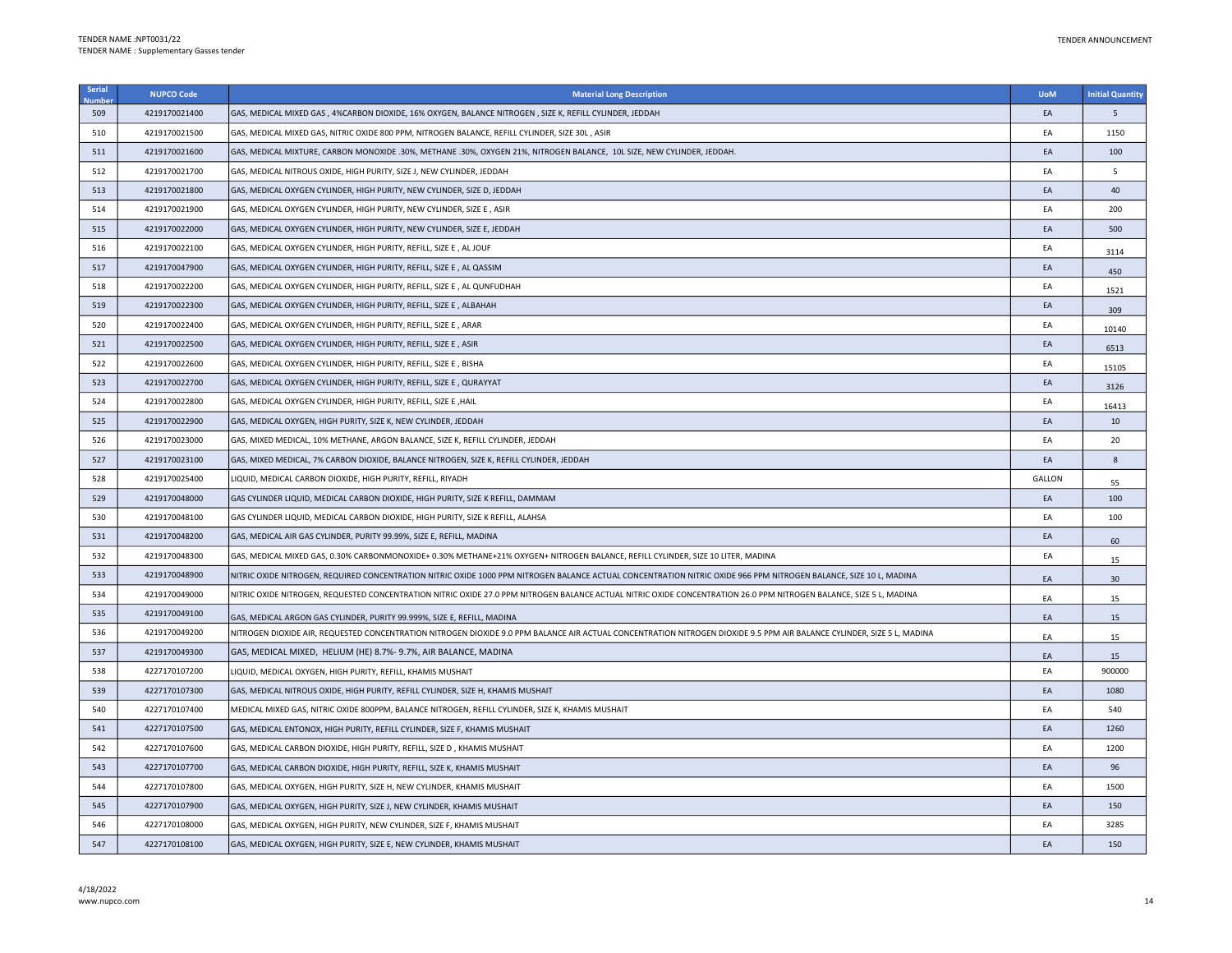| <b>Serial</b><br>Jumb | <b>NUPCO Code</b> | <b>Material Long Description</b>                                                                                                                                        | <b>UoM</b> | <b>Initial Quantity</b> |
|-----------------------|-------------------|-------------------------------------------------------------------------------------------------------------------------------------------------------------------------|------------|-------------------------|
| 509                   | 4219170021400     | GAS, MEDICAL MIXED GAS, 4%CARBON DIOXIDE, 16% OXYGEN, BALANCE NITROGEN, SIZE K, REFILL CYLINDER, JEDDAH                                                                 | EA         | 5                       |
| 510                   | 4219170021500     | GAS, MEDICAL MIXED GAS, NITRIC OXIDE 800 PPM, NITROGEN BALANCE, REFILL CYLINDER, SIZE 30L, ASIR                                                                         | EA         | 1150                    |
| 511                   | 4219170021600     | GAS, MEDICAL MIXTURE, CARBON MONOXIDE .30%, METHANE .30%, OXYGEN 21%, NITROGEN BALANCE, 10L SIZE, NEW CYLINDER, JEDDAH.                                                 | EA         | 100                     |
| 512                   | 4219170021700     | GAS, MEDICAL NITROUS OXIDE, HIGH PURITY, SIZE J, NEW CYLINDER, JEDDAH                                                                                                   | EA         | 5                       |
| 513                   | 4219170021800     | GAS, MEDICAL OXYGEN CYLINDER, HIGH PURITY, NEW CYLINDER, SIZE D, JEDDAH                                                                                                 | EA         | 40                      |
| 514                   | 4219170021900     | GAS, MEDICAL OXYGEN CYLINDER, HIGH PURITY, NEW CYLINDER, SIZE E, ASIR                                                                                                   | EA         | 200                     |
| 515                   | 4219170022000     | GAS, MEDICAL OXYGEN CYLINDER, HIGH PURITY, NEW CYLINDER, SIZE E, JEDDAH                                                                                                 | EA         | 500                     |
| 516                   | 4219170022100     | GAS, MEDICAL OXYGEN CYLINDER, HIGH PURITY, REFILL, SIZE E, AL JOUF                                                                                                      | EA         | 3114                    |
| 517                   | 4219170047900     | GAS, MEDICAL OXYGEN CYLINDER, HIGH PURITY, REFILL, SIZE E, AL QASSIM                                                                                                    | EA         | 450                     |
| 518                   | 4219170022200     | GAS, MEDICAL OXYGEN CYLINDER, HIGH PURITY, REFILL, SIZE E, AL QUNFUDHAH                                                                                                 | EA         | 1521                    |
| 519                   | 4219170022300     | GAS, MEDICAL OXYGEN CYLINDER, HIGH PURITY, REFILL, SIZE E, ALBAHAH                                                                                                      | EA         | 309                     |
| 520                   | 4219170022400     | GAS, MEDICAL OXYGEN CYLINDER, HIGH PURITY, REFILL, SIZE E, ARAR                                                                                                         | EA         | 10140                   |
| 521                   | 4219170022500     | GAS, MEDICAL OXYGEN CYLINDER, HIGH PURITY, REFILL, SIZE E, ASIR                                                                                                         | EA         | 6513                    |
| 522                   | 4219170022600     | GAS, MEDICAL OXYGEN CYLINDER, HIGH PURITY, REFILL, SIZE E, BISHA                                                                                                        | EA         | 15105                   |
| 523                   | 4219170022700     | GAS, MEDICAL OXYGEN CYLINDER, HIGH PURITY, REFILL, SIZE E, QURAYYAT                                                                                                     | EA         | 3126                    |
| 524                   | 4219170022800     | GAS, MEDICAL OXYGEN CYLINDER, HIGH PURITY, REFILL, SIZE E, HAIL                                                                                                         | EA         | 16413                   |
| 525                   | 4219170022900     | GAS, MEDICAL OXYGEN, HIGH PURITY, SIZE K, NEW CYLINDER, JEDDAH                                                                                                          | EA         | 10                      |
| 526                   | 4219170023000     | GAS, MIXED MEDICAL, 10% METHANE, ARGON BALANCE, SIZE K, REFILL CYLINDER, JEDDAH                                                                                         | EA         | 20                      |
| 527                   | 4219170023100     | GAS, MIXED MEDICAL, 7% CARBON DIOXIDE, BALANCE NITROGEN, SIZE K, REFILL CYLINDER, JEDDAH                                                                                | EA         | 8                       |
| 528                   | 4219170025400     | LIQUID, MEDICAL CARBON DIOXIDE, HIGH PURITY, REFILL, RIYADH                                                                                                             | GALLON     | 55                      |
| 529                   | 4219170048000     | GAS CYLINDER LIQUID, MEDICAL CARBON DIOXIDE, HIGH PURITY, SIZE K REFILL, DAMMAM                                                                                         | EA         | 100                     |
| 530                   | 4219170048100     | GAS CYLINDER LIQUID, MEDICAL CARBON DIOXIDE, HIGH PURITY, SIZE K REFILL, ALAHSA                                                                                         | EA         | 100                     |
| 531                   | 4219170048200     | GAS, MEDICAL AIR GAS CYLINDER, PURITY 99.99%, SIZE E, REFILL, MADINA                                                                                                    | EA         | 60                      |
| 532                   | 4219170048300     | GAS, MEDICAL MIXED GAS, 0.30% CARBONMONOXIDE+ 0.30% METHANE+21% OXYGEN+ NITROGEN BALANCE, REFILL CYLINDER, SIZE 10 LITER, MADINA                                        | EA         | 15                      |
| 533                   | 4219170048900     | NITRIC OXIDE NITROGEN, REQUIRED CONCENTRATION NITRIC OXIDE 1000 PPM NITROGEN BALANCE ACTUAL CONCENTRATION NITRIC OXIDE 966 PPM NITROGEN BALANCE, SIZE 10 L, MADINA      | EA         | 30                      |
| 534                   | 4219170049000     | NITRIC OXIDE NITROGEN, REQUESTED CONCENTRATION NITRIC OXIDE 27.0 PPM NITROGEN BALANCE ACTUAL NITRIC OXIDE CONCENTRATION 26.0 PPM NITROGEN BALANCE, SIZE 5 L, MADINA     | EA         | 15                      |
| 535                   | 4219170049100     | GAS, MEDICAL ARGON GAS CYLINDER, PURITY 99.999%, SIZE E, REFILL, MADINA                                                                                                 | EA         | 15                      |
| 536                   | 4219170049200     | NITROGEN DIOXIDE AIR, REQUESTED CONCENTRATION NITROGEN DIOXIDE 9.0 PPM BALANCE AIR ACTUAL CONCENTRATION NITROGEN DIOXIDE 9.5 PPM AIR BALANCE CYLINDER, SIZE 5 L, MADINA | EA         | 15                      |
| 537                   | 4219170049300     | GAS, MEDICAL MIXED, HELIUM (HE) 8.7%-9.7%, AIR BALANCE, MADINA                                                                                                          | EA         | 15                      |
| 538                   | 4227170107200     | LIQUID, MEDICAL OXYGEN, HIGH PURITY, REFILL, KHAMIS MUSHAIT                                                                                                             | EA         | 900000                  |
| 539                   | 4227170107300     | GAS, MEDICAL NITROUS OXIDE, HIGH PURITY, REFILL CYLINDER, SIZE H, KHAMIS MUSHAIT                                                                                        | EA         | 1080                    |
| 540                   | 4227170107400     | MEDICAL MIXED GAS, NITRIC OXIDE 800PPM, BALANCE NITROGEN, REFILL CYLINDER, SIZE K, KHAMIS MUSHAIT                                                                       | EA         | 540                     |
| 541                   | 4227170107500     | GAS, MEDICAL ENTONOX, HIGH PURITY, REFILL CYLINDER, SIZE F, KHAMIS MUSHAIT                                                                                              | EA         | 1260                    |
| 542                   | 4227170107600     | GAS, MEDICAL CARBON DIOXIDE, HIGH PURITY, REFILL, SIZE D, KHAMIS MUSHAIT                                                                                                | EA         | 1200                    |
| 543                   | 4227170107700     | GAS, MEDICAL CARBON DIOXIDE, HIGH PURITY, REFILL, SIZE K, KHAMIS MUSHAIT                                                                                                | EA         | 96                      |
| 544                   | 4227170107800     | GAS, MEDICAL OXYGEN, HIGH PURITY, SIZE H, NEW CYLINDER, KHAMIS MUSHAIT                                                                                                  | EA         | 1500                    |
| 545                   | 4227170107900     | GAS, MEDICAL OXYGEN, HIGH PURITY, SIZE J, NEW CYLINDER, KHAMIS MUSHAIT                                                                                                  | EA         | 150                     |
| 546                   | 4227170108000     | GAS, MEDICAL OXYGEN, HIGH PURITY, NEW CYLINDER, SIZE F, KHAMIS MUSHAIT                                                                                                  | EA         | 3285                    |
| 547                   | 4227170108100     | GAS, MEDICAL OXYGEN, HIGH PURITY, SIZE E, NEW CYLINDER, KHAMIS MUSHAIT                                                                                                  | EA         | 150                     |